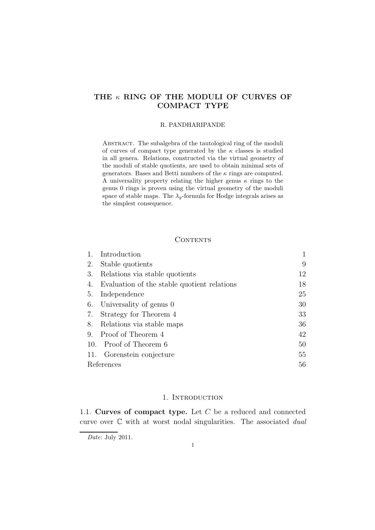# THE  $\kappa$  RING OF THE MODULI OF CURVES OF COMPACT TYPE

#### R. PANDHARIPANDE

Abstract. The subalgebra of the tautological ring of the moduli of curves of compact type generated by the  $\kappa$  classes is studied in all genera. Relations, constructed via the virtual geometry of the moduli of stable quotients, are used to obtain minimal sets of generators. Bases and Betti numbers of the  $\kappa$  rings are computed. A universality property relating the higher genus  $\kappa$  rings to the genus 0 rings is proven using the virtual geometry of the moduli space of stable maps. The  $\lambda_q$ -formula for Hodge integrals arises as the simplest consequence.

# **CONTENTS**

| Introduction                                |    |
|---------------------------------------------|----|
| Stable quotients                            | 9  |
| Relations via stable quotients              | 12 |
| Evaluation of the stable quotient relations | 18 |
| Independence                                | 25 |
| Universality of genus 0                     | 30 |
| Strategy for Theorem 4                      | 33 |
| Relations via stable maps                   | 36 |
| 9. Proof of Theorem 4                       | 42 |
| 10. Proof of Theorem 6                      | 50 |
| 11. Gorenstein conjecture                   | 55 |
| References                                  | 56 |
|                                             |    |

## 1. INTRODUCTION

1.1. Curves of compact type. Let  $C$  be a reduced and connected curve over C with at worst nodal singularities. The associated *dual*

Date: July 2011.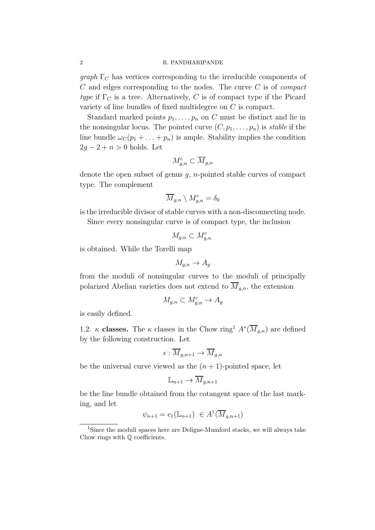*graph*  $\Gamma_c$  has vertices corresponding to the irreducible components of C and edges corresponding to the nodes. The curve C is of *compact type* if  $\Gamma_C$  is a tree. Alternatively, C is of compact type if the Picard variety of line bundles of fixed multidegree on C is compact.

Standard marked points  $p_1, \ldots, p_n$  on C must be distinct and lie in the nonsingular locus. The pointed curve  $(C, p_1, \ldots, p_n)$  is *stable* if the line bundle  $\omega_C(p_1 + \ldots + p_n)$  is ample. Stability implies the condition  $2g - 2 + n > 0$  holds. Let

$$
M_{g,n}^c \subset \overline{M}_{g,n}
$$

denote the open subset of genus  $q$ , *n*-pointed stable curves of compact type. The complement

$$
\overline{M}_{g,n}\setminus M_{g,n}^c=\delta_0
$$

is the irreducible divisor of stable curves with a non-disconnecting node.

Since every nonsingular curve is of compact type, the inclusion

$$
M_{g,n} \subset M_{g,n}^c
$$

is obtained. While the Torelli map

$$
M_{g,n} \to A_g
$$

from the moduli of nonsingular curves to the moduli of principally polarized Abelian varieties does not extend to  $\overline{M}_{g,n}$ , the extension

$$
M_{g,n} \subset M_{g,n}^c \to A_g
$$

is easily defined.

1.2. κ **classes.** The κ classes in the Chow ring<sup>1</sup>  $A^*(\overline{M}_{g,n})$  are defined by the following construction. Let

$$
\epsilon: \overline{M}_{g,n+1} \to \overline{M}_{g,n}
$$

be the universal curve viewed as the  $(n + 1)$ -pointed space, let

$$
\mathbb{L}_{n+1} \to \overline{M}_{g,n+1}
$$

be the line bundle obtained from the cotangent space of the last marking, and let

$$
\psi_{n+1} = c_1(\mathbb{L}_{n+1}) \in A^1(\overline{M}_{g,n+1})
$$

<sup>&</sup>lt;sup>1</sup>Since the moduli spaces here are Deligne-Mumford stacks, we will always take Chow rings with Q coefficients.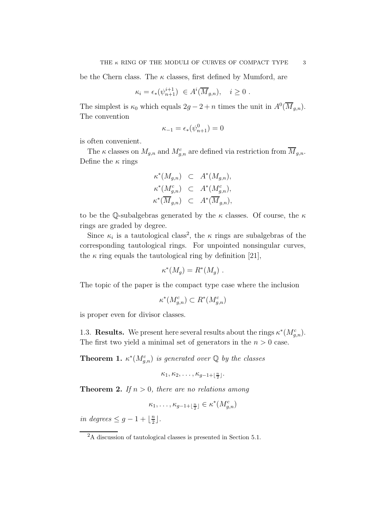be the Chern class. The  $\kappa$  classes, first defined by Mumford, are

$$
\kappa_i = \epsilon_*(\psi_{n+1}^{i+1}) \in A^i(\overline{M}_{g,n}), \quad i \ge 0.
$$

The simplest is  $\kappa_0$  which equals  $2g - 2 + n$  times the unit in  $A^0(\overline{M}_{g,n})$ . The convention

$$
\kappa_{-1} = \epsilon_*(\psi_{n+1}^0) = 0
$$

is often convenient.

The  $\kappa$  classes on  $M_{g,n}$  and  $M_{g,n}^c$  are defined via restriction from  $\overline{M}_{g,n}$ . Define the  $\kappa$  rings

$$
\begin{aligned}\n\kappa^*(M_{g,n}) &\subset A^*(M_{g,n}), \\
\kappa^*(M_{g,n}^c) &\subset A^*(M_{g,n}^c), \\
\kappa^*(\overline{M}_{g,n}) &\subset A^*(\overline{M}_{g,n}),\n\end{aligned}
$$

to be the Q-subalgebras generated by the  $\kappa$  classes. Of course, the  $\kappa$ rings are graded by degree.

Since  $\kappa_i$  is a tautological class<sup>2</sup>, the  $\kappa$  rings are subalgebras of the corresponding tautological rings. For unpointed nonsingular curves, the  $\kappa$  ring equals the tautological ring by definition [21],

$$
\kappa^*(M_g) = R^*(M_g) .
$$

The topic of the paper is the compact type case where the inclusion

$$
\kappa^*(M_{g,n}^c) \subset R^*(M_{g,n}^c)
$$

is proper even for divisor classes.

1.3. **Results.** We present here several results about the rings  $\kappa^*(M_{g,n}^c)$ . The first two yield a minimal set of generators in the  $n > 0$  case.

**Theorem 1.**  $\kappa^*(M_{g,n}^c)$  is generated over  $\mathbb Q$  by the classes

$$
\kappa_1,\kappa_2,\ldots,\kappa_{g-1+\lfloor\frac{n}{2}\rfloor}.
$$

**Theorem 2.** If  $n > 0$ , there are no relations among

$$
\kappa_1,\ldots,\kappa_{g-1+\lfloor\frac{n}{2}\rfloor}\in\kappa^*(M_{g,n}^c)
$$

*in degrees*  $\leq g-1+\lfloor \frac{n}{2} \rfloor$  $\frac{n}{2}$ .

<sup>2</sup>A discussion of tautological classes is presented in Section 5.1.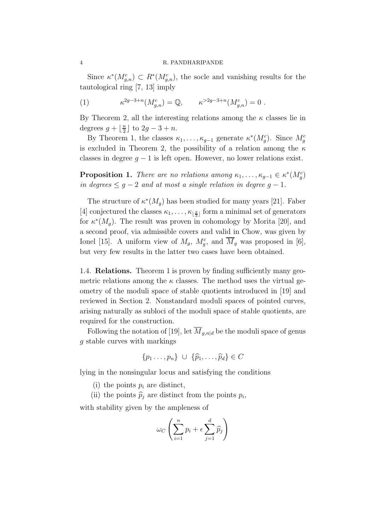#### 4 R. PANDHARIPANDE

Since  $\kappa^*(M_{g,n}^c) \subset R^*(M_{g,n}^c)$ , the socle and vanishing results for the tautological ring [7, 13] imply

(1) 
$$
\kappa^{2g-3+n}(M_{g,n}^c) = \mathbb{Q}, \qquad \kappa^{>2g-3+n}(M_{g,n}^c) = 0.
$$

By Theorem 2, all the interesting relations among the  $\kappa$  classes lie in degrees  $g + \lfloor \frac{n}{2} \rfloor$  $\frac{n}{2}$  to  $2g-3+n$ .

By Theorem 1, the classes  $\kappa_1, \ldots, \kappa_{g-1}$  generate  $\kappa^*(M_g^c)$ . Since  $M_g^c$ is excluded in Theorem 2, the possibility of a relation among the  $\kappa$ classes in degree  $g - 1$  is left open. However, no lower relations exist.

**Proposition 1.** *There are no relations among*  $\kappa_1, \ldots, \kappa_{g-1} \in \kappa^*(M_g^c)$ *in degrees*  $\leq$  *g* − 2 *and at most a single relation in degree g* − 1*.* 

The structure of  $\kappa^*(M_g)$  has been studied for many years [21]. Faber [4] conjectured the classes  $\kappa_1, \ldots, \kappa_{\lfloor \frac{g}{3} \rfloor}$  form a minimal set of generators for  $\kappa^*(M_g)$ . The result was proven in cohomology by Morita [20], and a second proof, via admissible covers and valid in Chow, was given by Ionel [15]. A uniform view of  $M_g$ ,  $M_g^c$ , and  $\overline{M}_g$  was proposed in [6], but very few results in the latter two cases have been obtained.

1.4. Relations. Theorem 1 is proven by finding sufficiently many geometric relations among the  $\kappa$  classes. The method uses the virtual geometry of the moduli space of stable quotients introduced in [19] and reviewed in Section 2. Nonstandard moduli spaces of pointed curves, arising naturally as subloci of the moduli space of stable quotients, are required for the construction.

Following the notation of [19], let  $\overline{M}_{g,n|d}$  be the moduli space of genus g stable curves with markings

$$
\{p_1\ldots,p_n\}\ \cup\ \{\widehat{p}_1,\ldots,\widehat{p}_d\}\in C
$$

lying in the nonsingular locus and satisfying the conditions

- (i) the points  $p_i$  are distinct,
- (ii) the points  $\hat{p}_j$  are distinct from the points  $p_i$ ,

with stability given by the ampleness of

$$
\omega_C \left( \sum_{i=1}^n p_i + \epsilon \sum_{j=1}^d \widehat{p}_j \right)
$$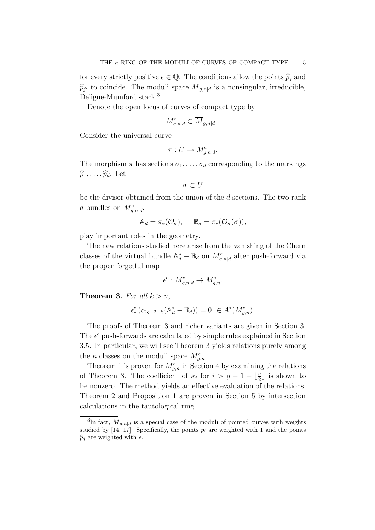for every strictly positive  $\epsilon \in \mathbb{Q}$ . The conditions allow the points  $\widehat{p}_j$  and  $\widehat{p}_{j'}$  to coincide. The moduli space  $M_{g,n|d}$  is a nonsingular, irreducible, Deligne-Mumford stack.<sup>3</sup>

Denote the open locus of curves of compact type by

$$
M_{g,n|d}^c \subset \overline{M}_{g,n|d} .
$$

Consider the universal curve

$$
\pi: U \to M_{g,n|d}^c.
$$

The morphism  $\pi$  has sections  $\sigma_1, \ldots, \sigma_d$  corresponding to the markings  $\widehat{p}_1, \ldots, \widehat{p}_d$ . Let

$$
\sigma\subset U
$$

be the divisor obtained from the union of the d sections. The two rank d bundles on  $M_{g,n|d}^c$ ,

$$
\mathbb{A}_d = \pi_* (\mathcal{O}_\sigma), \quad \mathbb{B}_d = \pi_* (\mathcal{O}_\sigma(\sigma)),
$$

play important roles in the geometry.

The new relations studied here arise from the vanishing of the Chern classes of the virtual bundle  $\mathbb{A}_d^* - \mathbb{B}_d$  on  $M_{g,n|d}^c$  after push-forward via the proper forgetful map

$$
\epsilon^c: M_{g,n|d}^c \to M_{g,n}^c.
$$

**Theorem 3.** For all  $k > n$ ,

$$
\epsilon_*^c \left( c_{2g-2+k} (\mathbb{A}_d^* - \mathbb{B}_d) \right) = 0 \ \ \in A^*(M_{g,n}^c).
$$

The proofs of Theorem 3 and richer variants are given in Section 3. The  $\epsilon^c$  push-forwards are calculated by simple rules explained in Section 3.5. In particular, we will see Theorem 3 yields relations purely among the  $\kappa$  classes on the moduli space  $M_{g,n}^c$ .

Theorem 1 is proven for  $M_{g,n}^c$  in Section 4 by examining the relations of Theorem 3. The coefficient of  $\kappa_i$  for  $i > g - 1 + \lfloor \frac{n}{2} \rfloor$  $\frac{n}{2}$  is shown to be nonzero. The method yields an effective evaluation of the relations. Theorem 2 and Proposition 1 are proven in Section 5 by intersection calculations in the tautological ring.

<sup>&</sup>lt;sup>3</sup>In fact,  $\overline{M}_{g,n|d}$  is a special case of the moduli of pointed curves with weights studied by  $[14, 17]$ . Specifically, the points  $p_i$  are weighted with 1 and the points  $\widehat{p}_i$  are weighted with  $\epsilon$ .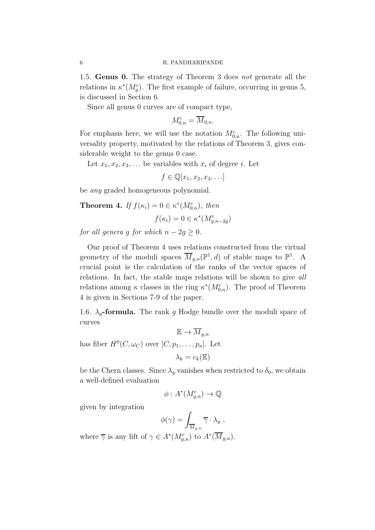1.5. Genus 0. The strategy of Theorem 3 does *not* generate all the relations in  $\kappa^*(M_g^c)$ . The first example of failure, occurring in genus 5, is discussed in Section 6.

Since all genus 0 curves are of compact type,

$$
M_{0,n}^c = \overline{M}_{0,n}.
$$

For emphasis here, we will use the notation  $M_{0,n}^c$ . The following universality property, motivated by the relations of Theorem 3, gives considerable weight to the genus 0 case.

Let  $x_1, x_2, x_3, \ldots$  be variables with  $x_i$  of degree i. Let

 $f \in \mathbb{Q}[x_1, x_2, x_3, \ldots]$ 

be *any* graded homogeneous polynomial.

**Theorem 4.** If  $f(\kappa_i) = 0 \in \kappa^*(M_{0,n}^c)$ , then

$$
f(\kappa_i) = 0 \in \kappa^*(M_{g,n-2g}^c)
$$

*for all genera g for which*  $n - 2g \geq 0$ *.* 

Our proof of Theorem 4 uses relations constructed from the virtual geometry of the moduli spaces  $\overline{M}_{g,n}(\mathbb{P}^1,d)$  of stable maps to  $\mathbb{P}^1$ . A crucial point is the calculation of the ranks of the vector spaces of relations. In fact, the stable maps relations will be shown to give *all* relations among  $\kappa$  classes in the ring  $\kappa^*(M_{0,n}^c)$ . The proof of Theorem 4 is given in Sections 7-9 of the paper.

1.6.  $\lambda_g$ -formula. The rank g Hodge bundle over the moduli space of curves

 $\mathbb{E} \to \overline{M}_{\text{an}}$ has fiber  $H^0(C, \omega_C)$  over  $[C, p_1, \ldots, p_n]$ . Let

$$
\lambda_k = c_k(\mathbb{E})
$$

be the Chern classes. Since  $\lambda_q$  vanishes when restricted to  $\delta_0$ , we obtain a well-defined evaluation

$$
\phi: A^*(M_{g,n}^c) \to \mathbb{Q}
$$

given by integration

$$
\phi(\gamma) = \int_{\overline{M}_{g,n}} \overline{\gamma} \cdot \lambda_g ,
$$

where  $\overline{\gamma}$  is any lift of  $\gamma \in A^*(M_{g,n}^c)$  to  $A^*(\overline{M}_{g,n})$ .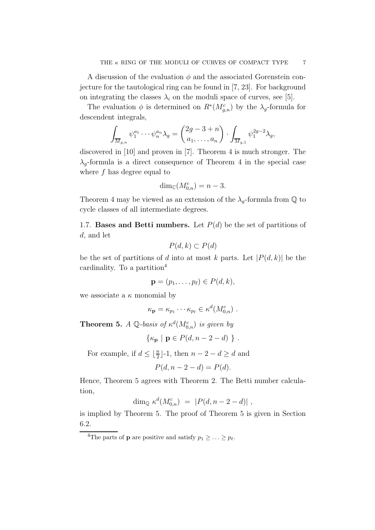A discussion of the evaluation  $\phi$  and the associated Gorenstein conjecture for the tautological ring can be found in [7, 23]. For background on integrating the classes  $\lambda_i$  on the moduli space of curves, see [5].

The evaluation  $\phi$  is determined on  $R^*(M_{g,n}^c)$  by the  $\lambda_g$ -formula for descendent integrals,

$$
\int_{\overline{M}_{g,n}} \psi_1^{a_1} \cdots \psi_n^{a_n} \lambda_g = \begin{pmatrix} 2g-3+n \\ a_1, \dots, a_n \end{pmatrix} \cdot \int_{\overline{M}_{g,1}} \psi_1^{2g-2} \lambda_g,
$$

discovered in [10] and proven in [7]. Theorem 4 is much stronger. The  $\lambda_g$ -formula is a direct consequence of Theorem 4 in the special case where  $f$  has degree equal to

$$
\dim_{\mathbb{C}}(M_{0,n}^c) = n - 3.
$$

Theorem 4 may be viewed as an extension of the  $\lambda_g$ -formula from  $\mathbb Q$  to cycle classes of all intermediate degrees.

1.7. Bases and Betti numbers. Let  $P(d)$  be the set of partitions of d, and let

$$
P(d,k) \subset P(d)
$$

be the set of partitions of d into at most k parts. Let  $|P(d, k)|$  be the cardinality. To a partition<sup>4</sup>

$$
\mathbf{p}=(p_1,\ldots,p_\ell)\in P(d,k),
$$

we associate a  $\kappa$  monomial by

$$
\kappa_{\mathbf{p}} = \kappa_{p_1} \cdots \kappa_{p_\ell} \in \kappa^d(M_{0,n}^c) \ .
$$

**Theorem 5.** *A*  $\mathbb{Q}$ -basis of  $\kappa^d(M_{0,n}^c)$  is given by

$$
\{\kappa_{\mathbf{p}} \mid \mathbf{p} \in P(d, n-2-d) \; \} .
$$

For example, if  $d \leq \lfloor \frac{n}{2} \rfloor - 1$ , then  $n - 2 - d \geq d$  and

$$
P(d, n-2-d) = P(d).
$$

Hence, Theorem 5 agrees with Theorem 2. The Betti number calculation,

$$
\dim_{\mathbb{Q}} \kappa^d(M^c_{0,n}) = |P(d, n-2-d)|,
$$

is implied by Theorem 5. The proof of Theorem 5 is given in Section 6.2.

<sup>&</sup>lt;sup>4</sup>The parts of **p** are positive and satisfy  $p_1 \geq \ldots \geq p_\ell$ .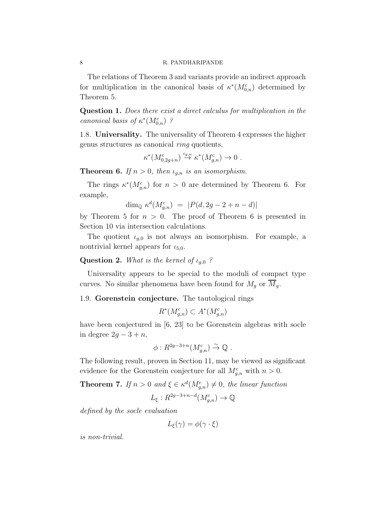#### 8 R. PANDHARIPANDE

The relations of Theorem 3 and variants provide an indirect approach for multiplication in the canonical basis of  $\kappa^*(M_{0,n}^c)$  determined by Theorem 5.

Question 1. *Does there exist a direct calculus for multiplication in the canonical basis of*  $\kappa^*(M_{0,n}^c)$  *?* 

1.8. Universality. The universality of Theorem 4 expresses the higher genus structures as canonical *ring* quotients,

$$
\kappa^*(M^c_{0,2g+n}) \stackrel{\iota_{g,n}}{\to} \kappa^*(M^c_{g,n}) \to 0.
$$

**Theorem 6.** If  $n > 0$ , then  $\iota_{g,n}$  is an isomorphism.

The rings  $\kappa^*(M_{g,n}^c)$  for  $n > 0$  are determined by Theorem 6. For example,

$$
\dim_{\mathbb{Q}} \kappa^d(M^c_{g,n}) \ = \ |P(d, 2g - 2 + n - d)|
$$

by Theorem 5 for  $n > 0$ . The proof of Theorem 6 is presented in Section 10 via intersection calculations.

The quotient  $\iota_{q,0}$  is not always an isomorphism. For example, a nontrivial kernel appears for  $\iota_{5,0}$ .

# **Question 2.** *What is the kernel of*  $\iota_{a,0}$  *?*

Universality appears to be special to the moduli of compact type curves. No similar phenomena have been found for  $M_g$  or  $\overline{M}_g$ .

# 1.9. Gorenstein conjecture. The tautological rings

$$
R^*(M_{g,n}^c) \subset A^*(M_{g,n}^c)
$$

have been conjectured in [6, 23] to be Gorenstein algebras with socle in degree  $2g - 3 + n$ ,

$$
\phi: R^{2g-3+n}(M_{g,n}^c) \stackrel{\sim}{\to} \mathbb{Q} .
$$

The following result, proven in Section 11, may be viewed as significant evidence for the Gorenstein conjecture for all  $M_{g,n}^c$  with  $n > 0$ .

**Theorem 7.** If  $n > 0$  and  $\xi \in \kappa^d(M_{g,n}^c) \neq 0$ , the linear function

$$
L_{\xi}: R^{2g-3+n-d}(M_{g,n}^c) \to \mathbb{Q}
$$

*defined by the socle evaluation*

$$
L_{\xi}(\gamma) = \phi(\gamma \cdot \xi)
$$

*is non-trivial.*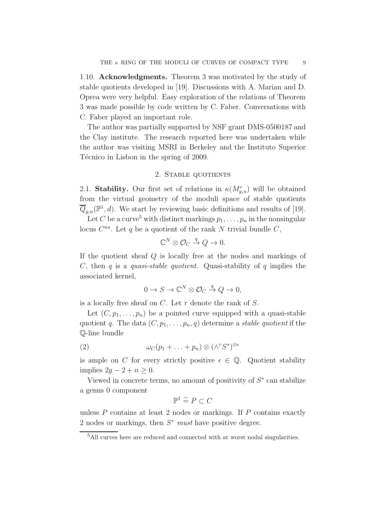1.10. Acknowledgments. Theorem 3 was motivated by the study of stable quotients developed in [19]. Discussions with A. Marian and D. Oprea were very helpful. Easy exploration of the relations of Theorem 3 was made possible by code written by C. Faber. Conversations with C. Faber played an important role.

The author was partially supported by NSF grant DMS-0500187 and the Clay institute. The research reported here was undertaken while the author was visiting MSRI in Berkeley and the Instituto Superior Técnico in Lisbon in the spring of 2009.

## 2. Stable quotients

2.1. Stability. Our first set of relations in  $\kappa(M_{g,n}^c)$  will be obtained from the virtual geometry of the moduli space of stable quotients  $\overline{Q}_{g,n}(\mathbb{P}^1, d)$ . We start by reviewing basic definitions and results of [19]. Let C be a curve<sup>5</sup> with distinct markings  $p_1, \ldots, p_n$  in the nonsingular

locus  $C^{ns}$ . Let q be a quotient of the rank N trivial bundle  $C$ ,

$$
\mathbb{C}^N \otimes \mathcal{O}_C \stackrel{q}{\to} Q \to 0.
$$

If the quotient sheaf Q is locally free at the nodes and markings of C, then q is a *quasi-stable quotient*. Quasi-stability of q implies the associated kernel,

$$
0 \to S \to \mathbb{C}^N \otimes \mathcal{O}_C \stackrel{q}{\to} Q \to 0,
$$

is a locally free sheaf on  $C$ . Let  $r$  denote the rank of  $S$ .

Let  $(C, p_1, \ldots, p_n)$  be a pointed curve equipped with a quasi-stable quotient q. The data  $(C, p_1, \ldots, p_n, q)$  determine a *stable quotient* if the Q-line bundle

(2) 
$$
\omega_C(p_1 + \ldots + p_n) \otimes (\wedge^r S^*)^{\otimes \epsilon}
$$

is ample on C for every strictly positive  $\epsilon \in \mathbb{Q}$ . Quotient stability implies  $2q - 2 + n \geq 0$ .

Viewed in concrete terms, no amount of positivity of  $S^*$  can stabilize a genus 0 component

$$
\mathbb{P}^1 \stackrel{\sim}{=} P \subset C
$$

unless  $P$  contains at least 2 nodes or markings. If  $P$  contains exactly 2 nodes or markings, then  $S^*$  *must* have positive degree.

<sup>5</sup>All curves here are reduced and connected with at worst nodal singularities.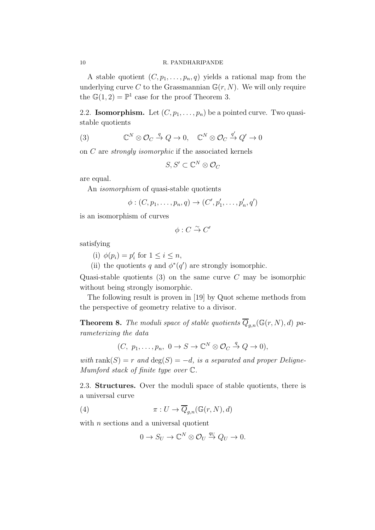A stable quotient  $(C, p_1, \ldots, p_n, q)$  yields a rational map from the underlying curve C to the Grassmannian  $\mathbb{G}(r, N)$ . We will only require the  $\mathbb{G}(1,2) = \mathbb{P}^1$  case for the proof Theorem 3.

2.2. **Isomorphism.** Let  $(C, p_1, \ldots, p_n)$  be a pointed curve. Two quasistable quotients

(3) 
$$
\mathbb{C}^N \otimes \mathcal{O}_C \xrightarrow{q} Q \to 0, \quad \mathbb{C}^N \otimes \mathcal{O}_C \xrightarrow{q'} Q' \to 0
$$

on C are *strongly isomorphic* if the associated kernels

$$
S, S' \subset \mathbb{C}^N \otimes \mathcal{O}_C
$$

are equal.

An *isomorphism* of quasi-stable quotients

$$
\phi: (C, p_1, \ldots, p_n, q) \rightarrow (C', p'_1, \ldots, p'_n, q')
$$

is an isomorphism of curves

 $\phi: C \overset{\sim}{\rightarrow} C'$ 

satisfying

(i)  $\phi(p_i) = p'_i$  for  $1 \leq i \leq n$ ,

(ii) the quotients q and  $\phi^*(q')$  are strongly isomorphic.

Quasi-stable quotients  $(3)$  on the same curve C may be isomorphic without being strongly isomorphic.

The following result is proven in [19] by Quot scheme methods from the perspective of geometry relative to a divisor.

**Theorem 8.** The moduli space of stable quotients  $\overline{Q}_{g,n}(\mathbb{G}(r,N), d)$  pa*rameterizing the data*

$$
(C, p_1, \ldots, p_n, 0 \to S \to \mathbb{C}^N \otimes \mathcal{O}_C \stackrel{q}{\to} Q \to 0),
$$

*with* rank $(S) = r$  *and*  $\deg(S) = -d$ *, is a separated and proper Deligne-Mumford stack of finite type over* C*.*

2.3. Structures. Over the moduli space of stable quotients, there is a universal curve

(4) 
$$
\pi: U \to \overline{Q}_{g,n}(\mathbb{G}(r,N),d)
$$

with  $n$  sections and a universal quotient

$$
0 \to S_U \to \mathbb{C}^N \otimes \mathcal{O}_U \stackrel{q_U}{\to} Q_U \to 0.
$$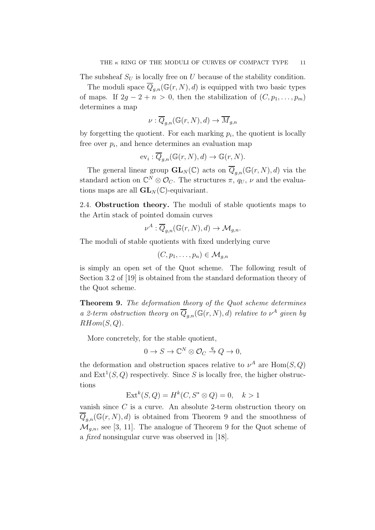The subsheaf  $S_U$  is locally free on U because of the stability condition.

The moduli space  $\overline{Q}_{g,n}(\mathbb{G}(r,N), d)$  is equipped with two basic types of maps. If  $2g - 2 + n > 0$ , then the stabilization of  $(C, p_1, \ldots, p_m)$ determines a map

$$
\nu: \overline{Q}_{g,n}(\mathbb{G}(r,N),d) \to \overline{M}_{g,n}
$$

by forgetting the quotient. For each marking  $p_i$ , the quotient is locally free over  $p_i$ , and hence determines an evaluation map

$$
\mathrm{ev}_i: \overline{Q}_{g,n}(\mathbb{G}(r,N),d) \to \mathbb{G}(r,N).
$$

The general linear group  $\mathbf{GL}_N(\mathbb{C})$  acts on  $\overline{Q}_{g,n}(\mathbb{G}(r,N),d)$  via the standard action on  $\mathbb{C}^N \otimes \mathcal{O}_C$ . The structures  $\pi$ ,  $q_U$ ,  $\nu$  and the evaluations maps are all  $GL_N(\mathbb{C})$ -equivariant.

2.4. Obstruction theory. The moduli of stable quotients maps to the Artin stack of pointed domain curves

$$
\nu^A: \overline{Q}_{g,n}(\mathbb{G}(r,N),d) \to \mathcal{M}_{g,n}.
$$

The moduli of stable quotients with fixed underlying curve

$$
(C,p_1,\ldots,p_n)\in \mathcal{M}_{g,n}
$$

is simply an open set of the Quot scheme. The following result of Section 3.2 of [19] is obtained from the standard deformation theory of the Quot scheme.

Theorem 9. *The deformation theory of the Quot scheme determines a 2-term obstruction theory on*  $\overline{Q}_{g,n}(\mathbb{G}(r,N), d)$  *relative to*  $\nu^A$  *given by*  $RHom(S, Q)$ .

More concretely, for the stable quotient,

$$
0 \to S \to \mathbb{C}^N \otimes \mathcal{O}_C \stackrel{q}{\to} Q \to 0,
$$

the deformation and obstruction spaces relative to  $\nu^A$  are  $\text{Hom}(S, Q)$ and  $\text{Ext}^1(S, Q)$  respectively. Since S is locally free, the higher obstructions

$$
Extk(S, Q) = Hk(C, S^* \otimes Q) = 0, \quad k > 1
$$

vanish since C is a curve. An absolute 2-term obstruction theory on  $\overline{Q}_{g,n}(\mathbb{G}(r,N),d)$  is obtained from Theorem 9 and the smoothness of  $\mathcal{M}_{g,n}$ , see [3, 11]. The analogue of Theorem 9 for the Quot scheme of a *fixed* nonsingular curve was observed in [18].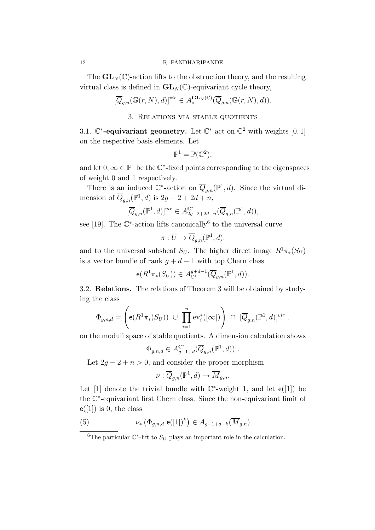#### 12 R. PANDHARIPANDE

The  $GL_N(\mathbb{C})$ -action lifts to the obstruction theory, and the resulting virtual class is defined in  $GL_N(\mathbb{C})$ -equivariant cycle theory,

$$
[\overline{Q}_{g,n}(\mathbb{G}(r,N),d)]^{vir} \in A^{\mathbf{GL}_N(\mathbb{C})}_{*}(\overline{Q}_{g,n}(\mathbb{G}(r,N),d)).
$$

# 3. Relations via stable quotients

3.1.  $\mathbb{C}^*$ -equivariant geometry. Let  $\mathbb{C}^*$  act on  $\mathbb{C}^2$  with weights [0, 1] on the respective basis elements. Let

$$
\mathbb{P}^1 = \mathbb{P}(\mathbb{C}^2),
$$

and let  $0, \infty \in \mathbb{P}^1$  be the  $\mathbb{C}^*$ -fixed points corresponding to the eigenspaces of weight 0 and 1 respectively.

There is an induced  $\mathbb{C}^*$ -action on  $\overline{Q}_{g,n}(\mathbb{P}^1,d)$ . Since the virtual dimension of  $\overline{Q}_{g,n}(\mathbb{P}^1,d)$  is  $2g-2+2d+n$ ,

$$
[\overline{Q}_{g,n}(\mathbb{P}^1,d)]^{vir} \in A_{2g-2+2d+n}^{\mathbb{C}^*}(\overline{Q}_{g,n}(\mathbb{P}^1,d)),
$$

see [19]. The  $\mathbb{C}^*$ -action lifts canonically<sup>6</sup> to the universal curve

$$
\pi: U \to \overline{Q}_{g,n}(\mathbb{P}^1, d).
$$

and to the universal subsheaf  $S_U$ . The higher direct image  $R^1\pi_*(S_U)$ is a vector bundle of rank  $g + d - 1$  with top Chern class

$$
e(R^1\pi_*(S_U)) \in A_{\mathbb{C}^*}^{g+d-1}(\overline{Q}_{g,n}(\mathbb{P}^1,d)).
$$

3.2. Relations. The relations of Theorem 3 will be obtained by studying the class

$$
\Phi_{g,n,d} = \left( \mathbf{e}(R^1 \pi_*(S_U)) \cup \prod_{i=1}^n \text{ev}_i^*([\infty]) \right) \cap [\overline{Q}_{g,n}(\mathbb{P}^1,d)]^{vir} .
$$

on the moduli space of stable quotients. A dimension calculation shows

$$
\Phi_{g,n,d} \in A_{g-1+d}^{\mathbb{C}^*}(\overline{Q}_{g,n}(\mathbb{P}^1,d)) \ .
$$

Let  $2g - 2 + n > 0$ , and consider the proper morphism

$$
\nu: \overline{Q}_{g,n}(\mathbb{P}^1, d) \to \overline{M}_{g,n}.
$$

Let [1] denote the trivial bundle with  $\mathbb{C}^*$ -weight 1, and let  $e([1])$  be the C ∗ -equivariant first Chern class. Since the non-equivariant limit of  $e([1])$  is 0, the class

(5) 
$$
\nu_* \left( \Phi_{g,n,d} \; \mathbf{e}([1])^k \right) \in A_{g-1+d-k}(\overline{M}_{g,n})
$$

<sup>&</sup>lt;sup>6</sup>The particular  $\mathbb{C}^*$ -lift to  $S_U$  plays an important role in the calculation.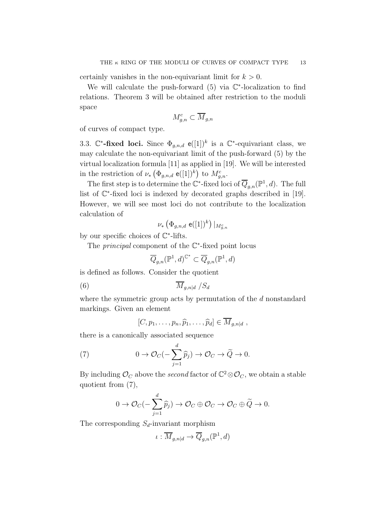certainly vanishes in the non-equivariant limit for  $k > 0$ .

We will calculate the push-forward  $(5)$  via  $\mathbb{C}^*$ -localization to find relations. Theorem 3 will be obtained after restriction to the moduli space

$$
M_{g,n}^c \subset \overline{M}_{g,n}
$$

of curves of compact type.

3.3.  $\mathbb{C}^*$ -fixed loci. Since  $\Phi_{g,n,d}$  e([1])<sup>k</sup> is a  $\mathbb{C}^*$ -equivariant class, we may calculate the non-equivariant limit of the push-forward (5) by the virtual localization formula [11] as applied in [19]. We will be interested in the restriction of  $\nu_* \left( \Phi_{g,n,d} \; \mathsf{e}([1])^k \right)$  to  $M_{g,n}^c$ .

The first step is to determine the  $\mathbb{C}^*$ -fixed loci of  $\overline{Q}_{g,n}(\mathbb{P}^1,d)$ . The full list of  $\mathbb{C}^*$ -fixed loci is indexed by decorated graphs described in [19]. However, we will see most loci do not contribute to the localization calculation of

$$
\nu_* \left( \Phi_{g,n,d} \mathsf{e}([1])^k \right) \vert_{M^c_{g,n}}
$$

by our specific choices of  $\mathbb{C}^*$ -lifts.

The *principal* component of the C<sup>∗</sup>-fixed point locus

$$
\overline{Q}_{g,n}({\mathbb P}^1,d)^{{\mathbb C}^*} \subset \overline{Q}_{g,n}({\mathbb P}^1,d)
$$

is defined as follows. Consider the quotient

$$
\overline{M}_{g,n|d} / S_d
$$

where the symmetric group acts by permutation of the d nonstandard markings. Given an element

$$
[C, p_1, \ldots, p_n, \widehat{p}_1, \ldots, \widehat{p}_d] \in \overline{M}_{g,n|d},
$$

there is a canonically associated sequence

(7) 
$$
0 \to \mathcal{O}_C(-\sum_{j=1}^d \widehat{p}_j) \to \mathcal{O}_C \to \widetilde{Q} \to 0.
$$

By including  $\mathcal{O}_C$  above the *second* factor of  $\mathbb{C}^2 \otimes \mathcal{O}_C$ , we obtain a stable quotient from (7),

$$
0 \to \mathcal{O}_C(-\sum_{j=1}^d \widehat{p}_j) \to \mathcal{O}_C \oplus \mathcal{O}_C \to \mathcal{O}_C \oplus \widetilde{Q} \to 0.
$$

The corresponding  $S_d$ -invariant morphism

$$
\iota: \overline{M}_{g,n|d} \to \overline{Q}_{g,n}(\mathbb{P}^1, d)
$$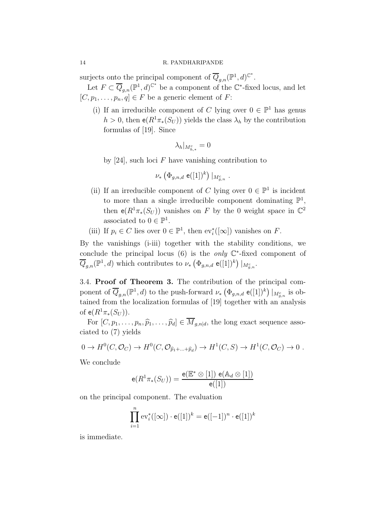#### 14 R. PANDHARIPANDE

surjects onto the principal component of  $\overline{Q}_{g,n}(\mathbb{P}^1,d)^{\mathbb{C}^*}.$ 

Let  $F \subset \overline{Q}_{g,n}(\mathbb{P}^1,d)^{\mathbb{C}^*}$  be a component of the  $\mathbb{C}^*$ -fixed locus, and let  $[C, p_1, \ldots, p_n, q] \in F$  be a generic element of F:

(i) If an irreducible component of C lying over  $0 \in \mathbb{P}^1$  has genus  $h > 0$ , then  $e(R^1 \pi_*(S_U))$  yields the class  $\lambda_h$  by the contribution formulas of [19]. Since

$$
\lambda_h|_{M_{h,*}^c}=0
$$

by [24], such loci  $F$  have vanishing contribution to

$$
\nu_* \left( \Phi_{g,n,d} \; \mathsf{e}([1])^k \right) \vert_{M_{g,n}^c}
$$

(ii) If an irreducible component of C lying over  $0 \in \mathbb{P}^1$  is incident to more than a single irreducible component dominating  $\mathbb{P}^1$ , then  $e(R^1\pi_*(S_U))$  vanishes on F by the 0 weight space in  $\mathbb{C}^2$ associated to  $0 \in \mathbb{P}^1$ .

.

(iii) If  $p_i \in C$  lies over  $0 \in \mathbb{P}^1$ , then  $ev_i^*([\infty])$  vanishes on F.

By the vanishings (i-iii) together with the stability conditions, we conclude the principal locus  $(6)$  is the *only*  $\mathbb{C}^*$ -fixed component of  $\overline{Q}_{g,n}(\mathbb{P}^1,d)$  which contributes to  $\nu_* \left( \Phi_{g,n,d} \mathsf{e}([1])^k \right)|_{M_{g,n}^c}$ .

3.4. Proof of Theorem 3. The contribution of the principal component of  $\overline{Q}_{g,n}(\mathbb{P}^1,d)$  to the push-forward  $\nu_*$   $(\Phi_{g,n,d}$  e( $[1]^k$ )  $|_{M^c_{g,n}}$  is obtained from the localization formulas of [19] together with an analysis of  $e(R^{1}\pi_{*}(S_{U}))$ .

For  $[C, p_1, \ldots, p_n, \widehat{p}_1, \ldots, \widehat{p}_d] \in \overline{M}_{g,n|d}$ , the long exact sequence associated to (7) yields

$$
0 \to H^0(C, \mathcal{O}_C) \to H^0(C, \mathcal{O}_{\widehat{p}_1 + \dots + \widehat{p}_d}) \to H^1(C, S) \to H^1(C, \mathcal{O}_C) \to 0.
$$

We conclude

$$
\mathsf{e}(R^1\pi_*(S_U)) = \frac{\mathsf{e}(\mathbb{E}^*\otimes [1])\,\mathsf{e}(\mathbb{A}_d\otimes [1])}{\mathsf{e}([1])}
$$

on the principal component. The evaluation

$$
\prod_{i=1}^{n} \text{ev}_i^*([\infty]) \cdot \mathsf{e}([1])^k = \mathsf{e}([-1])^n \cdot \mathsf{e}([1])^k
$$

is immediate.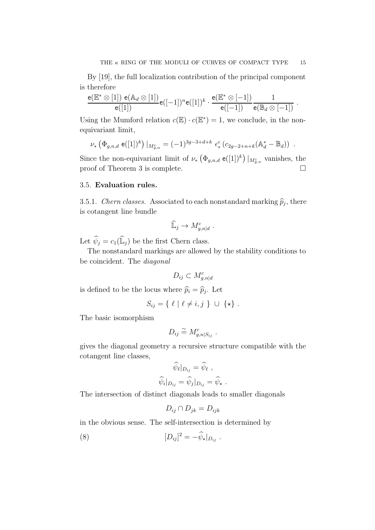By [19], the full localization contribution of the principal component is therefore

$$
\frac{\mathsf{e}(\mathbb{E}^* \otimes [1]) \; \mathsf{e}(\mathbb{A}_d \otimes [1])}{\mathsf{e}([1])} \mathsf{e}([-1])^n \mathsf{e}([1])^k \cdot \frac{\mathsf{e}(\mathbb{E}^* \otimes [-1])}{\mathsf{e}([-1])} \frac{1}{\mathsf{e}(\mathbb{B}_d \otimes [-1])} \; .
$$

Using the Mumford relation  $c(\mathbb{E}) \cdot c(\mathbb{E}^*) = 1$ , we conclude, in the nonequivariant limit,

$$
\nu_* \left( \Phi_{g,n,d} \; \mathbf{e}([1])^k \right) \big|_{M_{g,n}^c} = (-1)^{3g-3+d+k} \; \epsilon_*^c \left( c_{2g-2+n+k} (\mathbb{A}_d^* - \mathbb{B}_d) \right) \; .
$$

Since the non-equivariant limit of  $\nu_* \left( \Phi_{g,n,d} \mathbf{e}([1])^k \right)|_{M_{g,n}^c}$  vanishes, the proof of Theorem 3 is complete.

# 3.5. Evaluation rules.

3.5.1. *Chern classes.* Associated to each nonstandard marking  $\hat{p}_j$ , there is cotangent line bundle

$$
\widehat{\mathbb{L}}_j \to M_{g,n|d}^c.
$$

Let  $\widehat{\psi}_j = c_1(\widehat{\mathbb{L}}_j)$  be the first Chern class.

The nonstandard markings are allowed by the stability conditions to be coincident. The *diagonal*

$$
D_{ij} \subset M_{g,n|d}^c
$$

is defined to be the locus where  $\widehat{p}_i = \widehat{p}_j$ . Let

$$
S_{ij} = \{ \ell \mid \ell \neq i, j \} \cup \{ \star \} .
$$

The basic isomorphism

$$
D_{ij} \stackrel{\sim}{=} M_{g,n|S_{ij}}^c.
$$

gives the diagonal geometry a recursive structure compatible with the cotangent line classes,

$$
\widehat{\psi}_{\ell}|_{D_{ij}} = \widehat{\psi}_{\ell} ,
$$

$$
\widehat{\psi}_{i}|_{D_{ij}} = \widehat{\psi}_{j}|_{D_{ij}} = \widehat{\psi}_{\star} .
$$

The intersection of distinct diagonals leads to smaller diagonals

$$
D_{ij} \cap D_{jk} = D_{ijk}
$$

in the obvious sense. The self-intersection is determined by

(8) 
$$
[D_{ij}]^2 = -\hat{\psi}_\star|_{D_{ij}}.
$$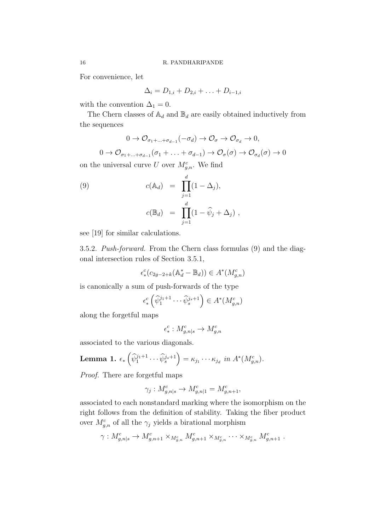For convenience, let

$$
\Delta_i = D_{1,i} + D_{2,i} + \ldots + D_{i-1,i}
$$

with the convention  $\Delta_1 = 0$ .

The Chern classes of  $\mathbb{A}_d$  and  $\mathbb{B}_d$  are easily obtained inductively from the sequences

$$
0 \to \mathcal{O}_{\sigma_1 + \dots + \sigma_{d-1}}(-\sigma_d) \to \mathcal{O}_{\sigma} \to \mathcal{O}_{\sigma_d} \to 0,
$$

 $0 \to \mathcal{O}_{\sigma_1 + \dots + \sigma_{d-1}}(\sigma_1 + \dots + \sigma_{d-1}) \to \mathcal{O}_{\sigma}(\sigma) \to \mathcal{O}_{\sigma_d}(\sigma) \to 0$ 

on the universal curve U over  $M_{g,n}^c$ . We find

(9) 
$$
c(\mathbb{A}_d) = \prod_{j=1}^d (1 - \Delta_j),
$$

$$
c(\mathbb{B}_d) = \prod_{j=1}^d (1 - \widehat{\psi}_j + \Delta_j),
$$

see [19] for similar calculations.

3.5.2. *Push-forward.* From the Chern class formulas (9) and the diagonal intersection rules of Section 3.5.1,

$$
\epsilon_*^c(c_{2g-2+k}(\mathbb{A}_d^*-\mathbb{B}_d))\in A^*(M_{g,n}^c)
$$

is canonically a sum of push-forwards of the type

$$
\epsilon_*^c \left( \widehat{\psi}_1^{j_1+1} \cdots \widehat{\psi}_s^{j_s+1} \right) \in A^*(M_{g,n}^c)
$$

along the forgetful maps

$$
\epsilon^c_*: M^c_{g,n|s} \to M^c_{g,n}
$$

associated to the various diagonals.

**Lemma 1.** 
$$
\epsilon_* \left( \widehat{\psi}_1^{j_1+1} \cdots \widehat{\psi}_s^{j_s+1} \right) = \kappa_{j_1} \cdots \kappa_{j_d} \text{ in } A^*(M_{g,n}^c).
$$

*Proof.* There are forgetful maps

$$
\gamma_j: M_{g,n|s}^c\rightarrow M_{g,n|1}^c=M_{g,n+1}^c,
$$

associated to each nonstandard marking where the isomorphism on the right follows from the definition of stability. Taking the fiber product over  $M_{g,n}^c$  of all the  $\gamma_j$  yields a birational morphism

$$
\gamma: M_{g,n|s}^c \to M_{g,n+1}^c \times_{M_{g,n}^c} M_{g,n+1}^c \times_{M_{g,n}^c} \cdots \times_{M_{g,n}^c} M_{g,n+1}^c
$$
.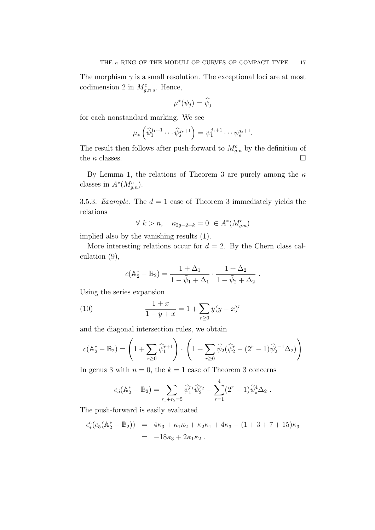The morphism  $\gamma$  is a small resolution. The exceptional loci are at most codimension 2 in  $M_{g,n|s}^c$ . Hence,

$$
\mu^*(\psi_j)=\widehat{\psi}_j
$$

for each nonstandard marking. We see

$$
\mu_*\left(\widehat{\psi}_1^{j_1+1}\cdots\widehat{\psi}_s^{j_s+1}\right)=\psi_1^{j_1+1}\cdots\psi_s^{j_s+1}.
$$

The result then follows after push-forward to  $M_{g,n}^c$  by the definition of the  $\kappa$  classes.

By Lemma 1, the relations of Theorem 3 are purely among the  $\kappa$ classes in  $A^*(M_{g,n}^c)$ .

3.5.3. *Example.* The  $d = 1$  case of Theorem 3 immediately yields the relations

$$
\forall k > n, \quad \kappa_{2g-2+k} = 0 \in A^*(M_{g,n}^c)
$$

implied also by the vanishing results (1).

More interesting relations occur for  $d = 2$ . By the Chern class calculation (9),

$$
c(\mathbb{A}_2^* - \mathbb{B}_2) = \frac{1 + \Delta_1}{1 - \hat{\psi}_1 + \Delta_1} \cdot \frac{1 + \Delta_2}{1 - \hat{\psi}_2 + \Delta_2}
$$

.

Using the series expansion

(10) 
$$
\frac{1+x}{1-y+x} = 1 + \sum_{r\geq 0} y(y-x)^r
$$

and the diagonal intersection rules, we obtain

$$
c(\mathbb{A}_2^* - \mathbb{B}_2) = \left(1 + \sum_{r \ge 0} \widehat{\psi}_1^{r+1}\right) \cdot \left(1 + \sum_{r \ge 0} \widehat{\psi}_2(\widehat{\psi}_2^r - (2^r - 1)\widehat{\psi}_2^{r-1}\Delta_2)\right)
$$

In genus 3 with  $n = 0$ , the  $k = 1$  case of Theorem 3 concerns

$$
c_5(\mathbb{A}_2^* - \mathbb{B}_2) = \sum_{r_1 + r_2 = 5} \widehat{\psi}_1^{r_1} \widehat{\psi}_2^{r_2} - \sum_{r=1}^4 (2^r - 1) \widehat{\psi}_*^4 \Delta_2.
$$

The push-forward is easily evaluated

$$
\epsilon_*^c (c_5(\mathbb{A}_2^* - \mathbb{B}_2)) = 4\kappa_3 + \kappa_1 \kappa_2 + \kappa_2 \kappa_1 + 4\kappa_3 - (1 + 3 + 7 + 15)\kappa_3
$$
  
= -18\kappa\_3 + 2\kappa\_1 \kappa\_2.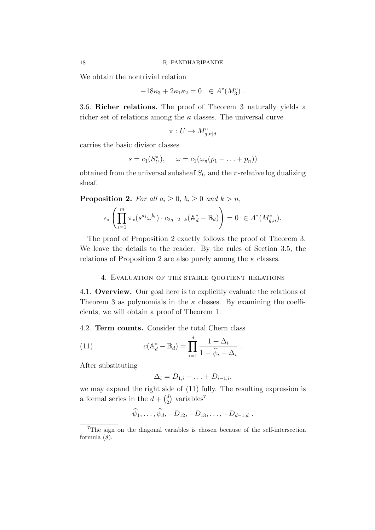We obtain the nontrivial relation

$$
-18\kappa_3 + 2\kappa_1 \kappa_2 = 0 \quad \in A^*(M_3^c) \; .
$$

3.6. Richer relations. The proof of Theorem 3 naturally yields a richer set of relations among the  $\kappa$  classes. The universal curve

$$
\pi: U \to M^c_{g,n|d}
$$

carries the basic divisor classes

$$
s = c_1(S_U^*), \quad \omega = c_1(\omega_\pi(p_1 + \ldots + p_n))
$$

obtained from the universal subsheaf  $S_U$  and the  $\pi$ -relative log dualizing sheaf.

**Proposition 2.** *For all*  $a_i \geq 0$ *,*  $b_i \geq 0$  *and*  $k > n$ *,* 

$$
\epsilon_*\left(\prod_{i=1}^m\pi_*(s^{a_i}\omega^{b_i})\cdot c_{2g-2+k}(\mathbb{A}_d^*-\mathbb{B}_d)\right)=0\ \in A^*(M_{g,n}^c).
$$

The proof of Proposition 2 exactly follows the proof of Theorem 3. We leave the details to the reader. By the rules of Section 3.5, the relations of Proposition 2 are also purely among the  $\kappa$  classes.

## 4. Evaluation of the stable quotient relations

4.1. Overview. Our goal here is to explicitly evaluate the relations of Theorem 3 as polynomials in the  $\kappa$  classes. By examining the coefficients, we will obtain a proof of Theorem 1.

4.2. Term counts. Consider the total Chern class

(11) 
$$
c(\mathbb{A}_d^* - \mathbb{B}_d) = \prod_{i=1}^d \frac{1 + \Delta_i}{1 - \widehat{\psi}_i + \Delta_i}.
$$

After substituting

$$
\Delta_i = D_{1,i} + \ldots + D_{i-1,i},
$$

we may expand the right side of (11) fully. The resulting expression is a formal series in the  $d + \binom{d}{2}$  $_2^d$ ) variables<sup>7</sup>

$$
\widehat{\psi}_1,\ldots,\widehat{\psi}_d,-D_{12},-D_{13},\ldots,-D_{d-1,d}
$$
.

<sup>&</sup>lt;sup>7</sup>The sign on the diagonal variables is chosen because of the self-intersection formula (8).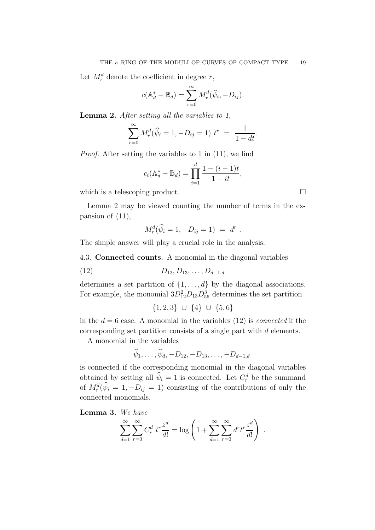Let  $M_r^d$  denote the coefficient in degree r,

$$
c(\mathbb{A}_d^* - \mathbb{B}_d) = \sum_{r=0}^{\infty} M_r^d(\widehat{\psi}_i, -D_{ij}).
$$

Lemma 2. *After setting all the variables to 1,*

$$
\sum_{r=0}^{\infty} M_r^d(\widehat{\psi}_i = 1, -D_{ij} = 1) t^r = \frac{1}{1 - dt}.
$$

*Proof.* After setting the variables to 1 in (11), we find

$$
c_t(\mathbb{A}_d^* - \mathbb{B}_d) = \prod_{i=1}^d \frac{1 - (i-1)t}{1 - it},
$$

which is a telescoping product.

Lemma 2 may be viewed counting the number of terms in the expansion of (11),

$$
M_r^d(\widehat{\psi}_i = 1, -D_{ij} = 1) = d^r
$$

.

The simple answer will play a crucial role in the analysis.

4.3. Connected counts. A monomial in the diagonal variables

(12)  $D_{12}, D_{13}, \ldots, D_{d-1,d}$ 

determines a set partition of  $\{1, \ldots, d\}$  by the diagonal associations. For example, the monomial  $3D_{12}^2D_{13}D_{56}^3$  determines the set partition

$$
\{1,2,3\} \cup \{4\} \cup \{5,6\}
$$

in the  $d = 6$  case. A monomial in the variables  $(12)$  is *connected* if the corresponding set partition consists of a single part with d elements.

A monomial in the variables

$$
\psi_1, \ldots, \psi_d, -D_{12}, -D_{13}, \ldots, -D_{d-1,d}
$$

is connected if the corresponding monomial in the diagonal variables obtained by setting all  $\hat{\psi}_i = 1$  is connected. Let  $C_r^d$  be the summand of  $M_r^d(\psi_i = 1, -D_{ij} = 1)$  consisting of the contributions of only the connected monomials.

Lemma 3. *We have*

$$
\sum_{d=1}^{\infty} \sum_{r=0}^{\infty} C_r^d \ t^r \frac{z^d}{d!} = \log \left( 1 + \sum_{d=1}^{\infty} \sum_{r=0}^{\infty} d^r t^r \frac{z^d}{d!} \right) \ .
$$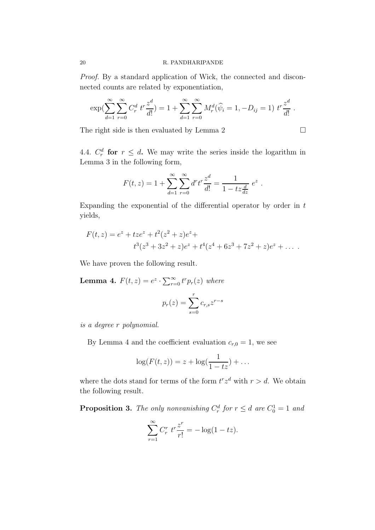*Proof.* By a standard application of Wick, the connected and disconnected counts are related by exponentiation,

$$
\exp\left(\sum_{d=1}^{\infty}\sum_{r=0}^{\infty}C_r^d \ t^r \frac{z^d}{d!}\right) = 1 + \sum_{d=1}^{\infty}\sum_{r=0}^{\infty}M_r^d(\widehat{\psi}_i = 1, -D_{ij} = 1) \ t^r \frac{z^d}{d!}.
$$

The right side is then evaluated by Lemma 2  $\Box$ 

4.4.  $C_r^d$  for  $r \leq d$ . We may write the series inside the logarithm in Lemma 3 in the following form,

$$
F(t, z) = 1 + \sum_{d=1}^{\infty} \sum_{r=0}^{\infty} d^r t^r \frac{z^d}{d!} = \frac{1}{1 - tz\frac{d}{dz}} e^z.
$$

Expanding the exponential of the differential operator by order in  $t$ yields,

$$
F(t, z) = ez + tzez + t2(z2 + z)ez + t4(z4 + 6z3 + 7z2 + z)ez + ...
$$
  

$$
t3(z3 + 3z2 + z)ez + t4(z4 + 6z3 + 7z2 + z)ez + ...
$$

We have proven the following result.

**Lemma 4.**  $F(t, z) = e^z \cdot \sum_{r=0}^{\infty} t^r p_r(z)$  where

$$
p_r(z) = \sum_{s=0}^r c_{r,s} z^{r-s}
$$

*is a degree* r *polynomial.*

By Lemma 4 and the coefficient evaluation  $c_{r,0} = 1$ , we see

$$
\log(F(t,z)) = z + \log(\frac{1}{1-tz}) + \dots
$$

where the dots stand for terms of the form  $t^r z^d$  with  $r > d$ . We obtain the following result.

**Proposition 3.** The only nonvanishing  $C_r^d$  for  $r \leq d$  are  $C_0^1 = 1$  and

$$
\sum_{r=1}^{\infty} C_r^r \ t^r \frac{z^r}{r!} = -\log(1 - tz).
$$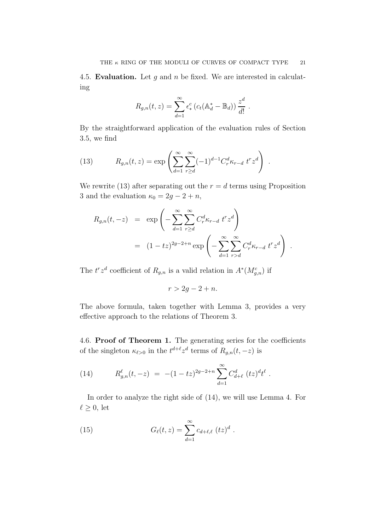.

4.5. Evaluation. Let  $g$  and  $n$  be fixed. We are interested in calculating

$$
R_{g,n}(t,z) = \sum_{d=1}^{\infty} \epsilon_*^c \left( c_t (\mathbb{A}_d^* - \mathbb{B}_d) \right) \frac{z^d}{d!}
$$

By the straightforward application of the evaluation rules of Section 3.5, we find

(13) 
$$
R_{g,n}(t,z) = \exp\left(\sum_{d=1}^{\infty} \sum_{r\geq d}^{\infty} (-1)^{d-1} C_r^d \kappa_{r-d} t^r z^d\right).
$$

We rewrite (13) after separating out the  $r = d$  terms using Proposition 3 and the evaluation  $\kappa_0 = 2g - 2 + n$ ,

$$
R_{g,n}(t, -z) = \exp\left(-\sum_{d=1}^{\infty} \sum_{r\geq d}^{\infty} C_r^d \kappa_{r-d} t^r z^d\right)
$$
  
= 
$$
(1-tz)^{2g-2+n} \exp\left(-\sum_{d=1}^{\infty} \sum_{r>d}^{\infty} C_r^d \kappa_{r-d} t^r z^d\right).
$$

The  $t^r z^d$  coefficient of  $R_{g,n}$  is a valid relation in  $A^*(M_{g,n}^c)$  if

$$
r > 2g - 2 + n.
$$

The above formula, taken together with Lemma 3, provides a very effective approach to the relations of Theorem 3.

4.6. Proof of Theorem 1. The generating series for the coefficients of the singleton  $\kappa_{\ell>0}$  in the  $t^{d+\ell}z^d$  terms of  $R_{g,n}(t,-z)$  is

(14) 
$$
R_{g,n}^{\ell}(t,-z) = -(1-tz)^{2g-2+n} \sum_{d=1}^{\infty} C_{d+\ell}^{d}(tz)^{d}t^{\ell}.
$$

In order to analyze the right side of (14), we will use Lemma 4. For  $\ell \geq 0$ , let

(15) 
$$
G_{\ell}(t,z) = \sum_{d=1}^{\infty} c_{d+\ell,\ell} (tz)^d.
$$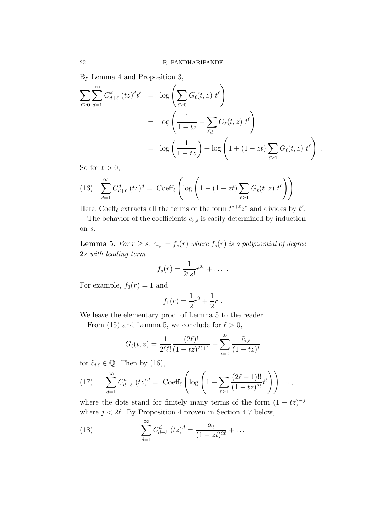By Lemma 4 and Proposition 3,

$$
\sum_{\ell \ge 0} \sum_{d=1}^{\infty} C_{d+\ell}^{d} (tz)^{d} t^{\ell} = \log \left( \sum_{\ell \ge 0} G_{\ell}(t, z) t^{\ell} \right)
$$
  
=  $\log \left( \frac{1}{1 - tz} + \sum_{\ell \ge 1} G_{\ell}(t, z) t^{\ell} \right)$   
=  $\log \left( \frac{1}{1 - tz} \right) + \log \left( 1 + (1 - zt) \sum_{\ell \ge 1} G_{\ell}(t, z) t^{\ell} \right)$ 

.

So for  $\ell > 0$ ,

(16) 
$$
\sum_{d=1}^{\infty} C_{d+\ell}^d (tz)^d = \text{Coeff}_{\ell} \left( \log \left( 1 + (1 - zt) \sum_{\ell \ge 1} G_{\ell}(t, z) t^{\ell} \right) \right).
$$

Here, Coeff<sub> $\ell$ </sub> extracts all the terms of the form  $t^{*+\ell}z^*$  and divides by  $t^{\ell}$ .

The behavior of the coefficients  $c_{r,s}$  is easily determined by induction on s.

**Lemma 5.** *For*  $r \geq s$ ,  $c_{r,s} = f_s(r)$  *where*  $f_s(r)$  *is a polynomial of degree* 2s *with leading term*

$$
f_s(r) = \frac{1}{2^s s!} r^{2s} + \dots
$$

For example,  $f_0(r) = 1$  and

$$
f_1(r) = \frac{1}{2}r^2 + \frac{1}{2}r.
$$

We leave the elementary proof of Lemma 5 to the reader

From (15) and Lemma 5, we conclude for  $\ell > 0$ ,

$$
G_{\ell}(t,z) = \frac{1}{2^{\ell}\ell!} \frac{(2\ell)!}{(1-tz)^{2\ell+1}} + \sum_{i=0}^{2\ell} \frac{\tilde{c}_{i,\ell}}{(1-tz)^{i}}
$$

for  $\tilde{c}_{i,\ell} \in \mathbb{Q}$ . Then by (16),

(17) 
$$
\sum_{d=1}^{\infty} C_{d+\ell}^{d} (tz)^{d} = \text{Coeff}_{\ell} \left( \log \left( 1 + \sum_{\ell \geq 1} \frac{(2\ell-1)!!}{(1-tz)^{2\ell}} t^{\ell} \right) \right) \dots,
$$

where the dots stand for finitely many terms of the form  $(1 - tz)^{-j}$ where  $j < 2\ell$ . By Proposition 4 proven in Section 4.7 below,

(18) 
$$
\sum_{d=1}^{\infty} C_{d+\ell}^{d} (tz)^{d} = \frac{\alpha_{\ell}}{(1 - zt)^{2\ell}} + \dots
$$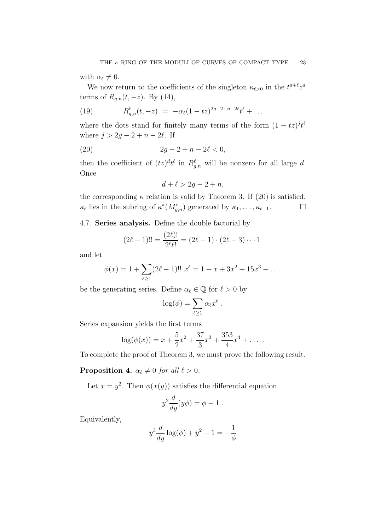with  $\alpha_{\ell} \neq 0$ .

We now return to the coefficients of the singleton  $\kappa_{\ell>0}$  in the  $t^{d+\ell}z^d$ terms of  $R_{g,n}(t, -z)$ . By (14),

(19) 
$$
R_{g,n}^{\ell}(t,-z) = -\alpha_{\ell}(1-tz)^{2g-2+n-2\ell}t^{\ell} + \dots
$$

where the dots stand for finitely many terms of the form  $(1 - tz)^j t^{\ell}$ where  $j > 2g - 2 + n - 2\ell$ . If

(20) 
$$
2g - 2 + n - 2\ell < 0,
$$

then the coefficient of  $(tz)^{d}t^{\ell}$  in  $R^{\ell}_{g,n}$  will be nonzero for all large d. **Once** 

$$
d+\ell > 2g-2+n,
$$

the corresponding  $\kappa$  relation is valid by Theorem 3. If (20) is satisfied,  $\kappa_{\ell}$  lies in the subring of  $\kappa^*(M_{g,n}^c)$  generated by  $\kappa_1, \ldots, \kappa_{\ell-1}$ .

4.7. Series analysis. Define the double factorial by

$$
(2\ell - 1)!! = \frac{(2\ell)!}{2^{\ell}\ell!} = (2\ell - 1) \cdot (2\ell - 3) \cdots 1
$$

and let

$$
\phi(x) = 1 + \sum_{\ell \ge 1} (2\ell - 1)!! \ x^{\ell} = 1 + x + 3x^2 + 15x^3 + \dots
$$

be the generating series. Define  $\alpha_{\ell} \in \mathbb{Q}$  for  $\ell > 0$  by

$$
\log(\phi) = \sum_{\ell \geq 1} \alpha_{\ell} x^{\ell} .
$$

Series expansion yields the first terms

$$
\log(\phi(x)) = x + \frac{5}{2}x^2 + \frac{37}{3}x^3 + \frac{353}{4}x^4 + \dots
$$

To complete the proof of Theorem 3, we must prove the following result.

**Proposition 4.**  $\alpha_{\ell} \neq 0$  *for all*  $\ell > 0$ *.* 

Let  $x = y^2$ . Then  $\phi(x(y))$  satisfies the differential equation

$$
y^2 \frac{d}{dy}(y\phi) = \phi - 1.
$$

Equivalently,

$$
y^3 \frac{d}{dy} \log(\phi) + y^2 - 1 = -\frac{1}{\phi}
$$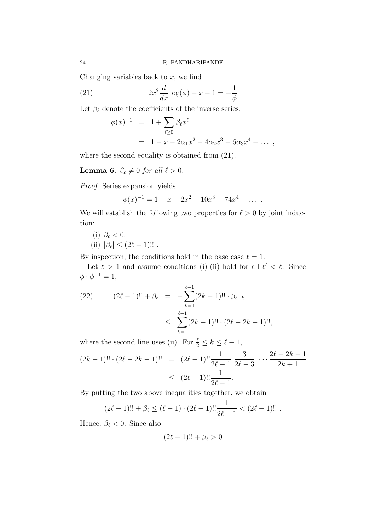Changing variables back to  $x$ , we find

(21) 
$$
2x^2 \frac{d}{dx} \log(\phi) + x - 1 = -\frac{1}{\phi}
$$

Let  $\beta_{\ell}$  denote the coefficients of the inverse series,

$$
\phi(x)^{-1} = 1 + \sum_{\ell \ge 0} \beta_{\ell} x^{\ell}
$$
  
= 1 - x - 2\alpha\_1 x^2 - 4\alpha\_2 x^3 - 6\alpha\_3 x^4 - ...,

where the second equality is obtained from (21).

**Lemma 6.**  $\beta_{\ell} \neq 0$  for all  $\ell > 0$ .

*Proof.* Series expansion yields

$$
\phi(x)^{-1} = 1 - x - 2x^2 - 10x^3 - 74x^4 - \dots
$$

We will establish the following two properties for  $\ell > 0$  by joint induction:

(i) 
$$
\beta_{\ell} < 0
$$
, \n(ii)  $|\beta_{\ell}| \leq (2\ell - 1)!!$ .

By inspection, the conditions hold in the base case  $\ell = 1$ .

Let  $\ell > 1$  and assume conditions (i)-(ii) hold for all  $\ell' < \ell$ . Since  $\phi \cdot \phi^{-1} = 1,$ 

(22) 
$$
(2\ell - 1)!! + \beta_{\ell} = -\sum_{k=1}^{\ell-1} (2k - 1)!! \cdot \beta_{\ell-k} \leq \sum_{k=1}^{\ell-1} (2k - 1)!! \cdot (2\ell - 2k - 1)!!,
$$

where the second line uses (ii). For  $\frac{\ell}{2} \leq k \leq \ell - 1$ ,  $(2k-1)!! \cdot (2\ell-2k-1)!! = (2\ell-1)!! \frac{1}{2\ell}$  $2\ell-1$ 3  $2\ell-3$  $\cdots \frac{2\ell-2k-1}{2^l+1}$  $2k + 1$  $\leq (2\ell-1)!!\frac{1}{2\ell}$  $2\ell-1$ .

By putting the two above inequalities together, we obtain

$$
(2\ell - 1)!! + \beta_{\ell} \leq (\ell - 1) \cdot (2\ell - 1)!! \frac{1}{2\ell - 1} < (2\ell - 1)!!
$$

Hence,  $\beta_{\ell} < 0$ . Since also

$$
(2\ell-1)!! + \beta_{\ell} > 0
$$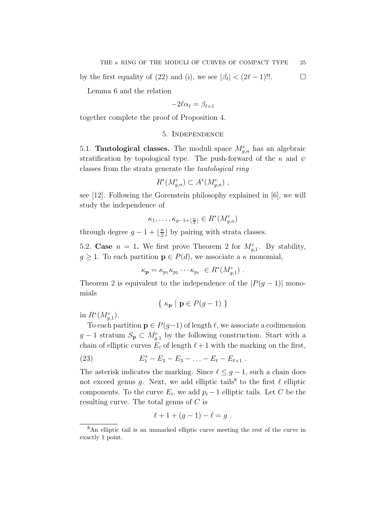by the first equality of (22) and (i), we see  $|\beta_{\ell}| < (2\ell - 1)!!$ .

Lemma 6 and the relation

$$
-2\ell\alpha_\ell=\beta_{\ell+1}
$$

together complete the proof of Proposition 4.

# 5. Independence

5.1. **Tautological classes.** The moduli space  $M_{g,n}^c$  has an algebraic stratification by topological type. The push-forward of the  $\kappa$  and  $\psi$ classes from the strata generate the *tautological ring*

$$
R^*(M_{g,n}^c) \subset A^*(M_{g,n}^c) ,
$$

see [12]. Following the Gorenstein philosophy explained in [6], we will study the independence of

$$
\kappa_1,\ldots,\kappa_{g-1+\lfloor\frac{n}{2}\rfloor}\in R^*(M_{g,n}^c)
$$

through degree  $g-1+\left\lfloor\frac{n}{2}\right\rfloor$  $\frac{n}{2}$  by pairing with strata classes.

5.2. Case  $n = 1$ . We first prove Theorem 2 for  $M_{g,1}^c$ . By stability,  $g \geq 1$ . To each partition  $p \in P(d)$ , we associate a  $\kappa$  monomial,

$$
\kappa_{\mathbf{p}} = \kappa_{p_1} \kappa_{p_2} \cdots \kappa_{p_\ell} \in R^*(M_{g,1}^c) .
$$

Theorem 2 is equivalent to the independence of the  $|P(q-1)|$  monomials

$$
\{ \kappa_{\mathbf{p}} \mid \mathbf{p} \in P(g-1) \}
$$

in  $R^*(M_{g,1}^c)$ .

To each partition  $p \in P(g-1)$  of length  $\ell$ , we associate a codimension  $g-1$  stratum  $S_{\mathbf{p}} \subset M_{g,1}^c$  by the following construction. Start with a chain of elliptic curves  $E_i$  of length  $\ell+1$  with the marking on the first,

(23) 
$$
E_1^* - E_2 - E_3 - \ldots - E_{\ell} - E_{\ell+1} .
$$

The asterisk indicates the marking. Since  $\ell \leq g-1$ , such a chain does not exceed genus g. Next, we add elliptic tails<sup>8</sup> to the first  $\ell$  elliptic components. To the curve  $E_i$ , we add  $p_i - 1$  elliptic tails. Let C be the resulting curve. The total genus of  $C$  is

$$
\ell + 1 + (g - 1) - \ell = g \; .
$$

<sup>8</sup>An elliptic tail is an unmarked elliptic curve meeting the rest of the curve in exactly 1 point.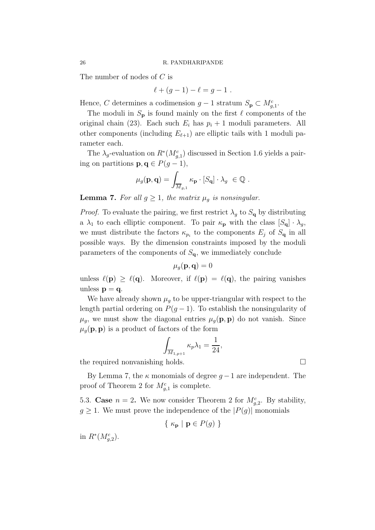The number of nodes of C is

$$
\ell + (g - 1) - \ell = g - 1 \; .
$$

Hence, C determines a codimension  $g-1$  stratum  $S_{\mathbf{p}} \subset M_{g,1}^c$ .

The moduli in  $S_p$  is found mainly on the first  $\ell$  components of the original chain (23). Each such  $E_i$  has  $p_i + 1$  moduli parameters. All other components (including  $E_{\ell+1}$ ) are elliptic tails with 1 moduli parameter each.

The  $\lambda_g$ -evaluation on  $R^*(M_{g,1}^c)$  discussed in Section 1.6 yields a pairing on partitions  $\mathbf{p}, \mathbf{q} \in P(g-1),$ 

$$
\mu_g(\mathbf{p}, \mathbf{q}) = \int_{\overline{M}_{g,1}} \kappa_\mathbf{p} \cdot [S_\mathbf{q}] \cdot \lambda_g \ \in \mathbb{Q} \ .
$$

**Lemma 7.** For all  $g \geq 1$ , the matrix  $\mu_q$  is nonsingular.

*Proof.* To evaluate the pairing, we first restrict  $\lambda_g$  to  $S_q$  by distributing a  $\lambda_1$  to each elliptic component. To pair  $\kappa_p$  with the class  $[S_q] \cdot \lambda_g$ , we must distribute the factors  $\kappa_{p_i}$  to the components  $E_j$  of  $S_{\mathbf{q}}$  in all possible ways. By the dimension constraints imposed by the moduli parameters of the components of  $S_{\mathbf{q}}$ , we immediately conclude

 $\mu_q(\mathbf{p}, \mathbf{q}) = 0$ 

unless  $\ell(\mathbf{p}) \geq \ell(\mathbf{q})$ . Moreover, if  $\ell(\mathbf{p}) = \ell(\mathbf{q})$ , the pairing vanishes unless  $\mathbf{p} = \mathbf{q}$ .

We have already shown  $\mu_g$  to be upper-triangular with respect to the length partial ordering on  $P(g-1)$ . To establish the nonsingularity of  $\mu_g$ , we must show the diagonal entries  $\mu_g(\mathbf{p}, \mathbf{p})$  do not vanish. Since  $\mu_q(\mathbf{p}, \mathbf{p})$  is a product of factors of the form

$$
\int_{\overline{M}_{1,p+1}} \kappa_p \lambda_1 = \frac{1}{24},
$$

the required nonvanishing holds.

By Lemma 7, the  $\kappa$  monomials of degree  $q-1$  are independent. The proof of Theorem 2 for  $M_{g,1}^c$  is complete.

5.3. Case  $n = 2$ . We now consider Theorem 2 for  $M_{g,2}^c$ . By stability,  $g \geq 1$ . We must prove the independence of the  $|P(g)|$  monomials

$$
\{ \kappa_{\mathbf{p}} \mid \mathbf{p} \in P(g) \}
$$

in  $R^*(M_{g,2}^c)$ .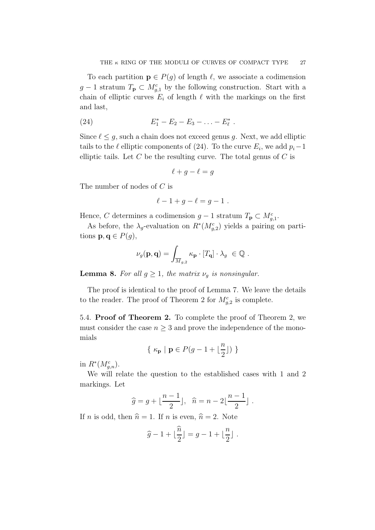To each partition  $\mathbf{p} \in P(g)$  of length  $\ell$ , we associate a codimension  $g-1$  stratum  $T_{\mathbf{p}} \subset M_{g,1}^c$  by the following construction. Start with a chain of elliptic curves  $E_i$  of length  $\ell$  with the markings on the first and last,

(24) 
$$
E_1^* - E_2 - E_3 - \ldots - E_\ell^*.
$$

Since  $\ell \leq g$ , such a chain does not exceed genus g. Next, we add elliptic tails to the  $\ell$  elliptic components of (24). To the curve  $E_i$ , we add  $p_i-1$ elliptic tails. Let  $C$  be the resulting curve. The total genus of  $C$  is

$$
\ell + g - \ell = g
$$

The number of nodes of C is

$$
\ell-1+g-\ell=g-1.
$$

Hence, C determines a codimension  $g-1$  stratum  $T_{\mathbf{p}} \subset M_{g,1}^c$ .

As before, the  $\lambda_g$ -evaluation on  $R^*(M_{g,2}^c)$  yields a pairing on partitions  $\mathbf{p}, \mathbf{q} \in P(g)$ ,

$$
\nu_g(\mathbf{p}, \mathbf{q}) = \int_{\overline{M}_{g,2}} \kappa_\mathbf{p} \cdot [T_\mathbf{q}] \cdot \lambda_g \ \in \mathbb{Q} \ .
$$

**Lemma 8.** *For all*  $g \geq 1$ *, the matrix*  $\nu_q$  *is nonsingular.* 

The proof is identical to the proof of Lemma 7. We leave the details to the reader. The proof of Theorem 2 for  $M_{g,2}^c$  is complete.

5.4. Proof of Theorem 2. To complete the proof of Theorem 2, we must consider the case  $n \geq 3$  and prove the independence of the monomials

$$
\{\ \kappa_{\mathbf{p}}\ \vert\ \mathbf{p} \in P(g-1+\lfloor \frac{n}{2} \rfloor)\ \}
$$

in  $R^*(M_{g,n}^c)$ .

We will relate the question to the established cases with 1 and 2 markings. Let

$$
\widehat{g} = g + \lfloor \frac{n-1}{2} \rfloor, \quad \widehat{n} = n - 2 \lfloor \frac{n-1}{2} \rfloor.
$$

If *n* is odd, then  $\hat{n} = 1$ . If *n* is even,  $\hat{n} = 2$ . Note

$$
\widehat{g} - 1 + \lfloor \frac{\widehat{n}}{2} \rfloor = g - 1 + \lfloor \frac{n}{2} \rfloor.
$$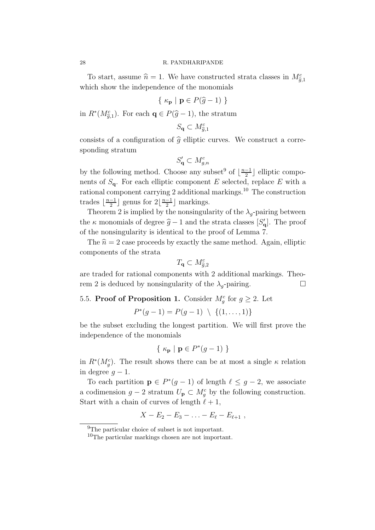#### 28 R. PANDHARIPANDE

To start, assume  $\hat{n} = 1$ . We have constructed strata classes in  $M_{\tilde{g},1}^c$ which show the independence of the monomials

$$
\{ \kappa_{\mathbf{p}} \mid \mathbf{p} \in P(\widehat{g} - 1) \}
$$

in  $R^*(M_{\tilde{g},1}^c)$ . For each  $\mathbf{q} \in P(\hat{g}-1)$ , the stratum

$$
S_{\mathbf{q}}\subset M_{\widehat{g},1}^c
$$

consists of a configuration of  $\hat{g}$  elliptic curves. We construct a corresponding stratum

$$
S'_{\mathbf{q}} \subset M_{g,n}^c
$$

by the following method. Choose any subset<sup>9</sup> of  $\lfloor \frac{n-1}{2} \rfloor$  $\frac{-1}{2}$  elliptic components of  $S_{q}$ . For each elliptic component E selected, replace E with a rational component carrying 2 additional markings.<sup>10</sup> The construction trades  $\lfloor \frac{n-1}{2} \rfloor$  $\frac{-1}{2}$  genus for  $2\left\lfloor \frac{n-1}{2} \right\rfloor$  $\frac{-1}{2}$  markings.

Theorem 2 is implied by the nonsingularity of the  $\lambda_q$ -pairing between the  $\kappa$  monomials of degree  $\hat{g} - 1$  and the strata classes  $[S'_q]$ . The proof of the nonsingularity is identical to the proof of Lemma 7.

The  $\hat{n} = 2$  case proceeds by exactly the same method. Again, elliptic components of the strata

$$
T_{\mathbf{q}}\subset M_{\widehat{g},2}^c
$$

are traded for rational components with 2 additional markings. Theorem 2 is deduced by nonsingularity of the  $\lambda_q$ -pairing.

# 5.5. **Proof of Proposition 1.** Consider  $M_g^c$  for  $g \geq 2$ . Let

$$
P^*(g-1) = P(g-1) \setminus \{(1,\ldots,1)\}
$$

be the subset excluding the longest partition. We will first prove the independence of the monomials

$$
\{ \kappa_{\mathbf{p}} \mid \mathbf{p} \in P^*(g-1) \}
$$

in  $R^*(M_g^c)$ . The result shows there can be at most a single  $\kappa$  relation in degree  $q-1$ .

To each partition  $\mathbf{p} \in P^*(g-1)$  of length  $\ell \leq g-2$ , we associate a codimension  $g - 2$  stratum  $U_{\mathbf{p}} \subset M_g^c$  by the following construction. Start with a chain of curves of length  $\ell + 1$ ,

$$
X - E_2 - E_3 - \ldots - E_{\ell} - E_{\ell+1} \; ,
$$

<sup>&</sup>lt;sup>9</sup>The particular choice of subset is not important.

<sup>10</sup>The particular markings chosen are not important.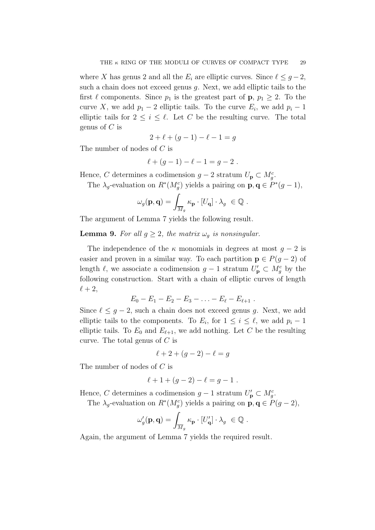where X has genus 2 and all the  $E_i$  are elliptic curves. Since  $\ell \leq g-2$ , such a chain does not exceed genus g. Next, we add elliptic tails to the first  $\ell$  components. Since  $p_1$  is the greatest part of **p**,  $p_1 \geq 2$ . To the curve X, we add  $p_1 - 2$  elliptic tails. To the curve  $E_i$ , we add  $p_i - 1$ elliptic tails for  $2 \leq i \leq \ell$ . Let C be the resulting curve. The total genus of  $C$  is

$$
2 + \ell + (g - 1) - \ell - 1 = g
$$

The number of nodes of C is

$$
\ell + (g - 1) - \ell - 1 = g - 2.
$$

Hence, C determines a codimension  $g - 2$  stratum  $U_p \subset M_g^c$ .

The  $\lambda_g$ -evaluation on  $R^*(M_g^c)$  yields a pairing on  $\mathbf{p}, \mathbf{q} \in P^*(g-1)$ ,

$$
\omega_g(\mathbf{p}, \mathbf{q}) = \int_{\overline{M}_g} \kappa_\mathbf{p} \cdot [U_\mathbf{q}] \cdot \lambda_g \ \in \mathbb{Q} \ .
$$

The argument of Lemma 7 yields the following result.

**Lemma 9.** For all  $g \geq 2$ , the matrix  $\omega_q$  is nonsingular.

The independence of the  $\kappa$  monomials in degrees at most  $q-2$  is easier and proven in a similar way. To each partition  $p \in P(q-2)$  of length  $\ell$ , we associate a codimension  $g-1$  stratum  $U'_{\mathbf{p}} \subset M_g^c$  by the following construction. Start with a chain of elliptic curves of length  $\ell+2$ ,

$$
E_0 - E_1 - E_2 - E_3 - \ldots - E_{\ell} - E_{\ell+1} \; .
$$

Since  $\ell \leq g-2$ , such a chain does not exceed genus g. Next, we add elliptic tails to the components. To  $E_i$ , for  $1 \leq i \leq \ell$ , we add  $p_i - 1$ elliptic tails. To  $E_0$  and  $E_{\ell+1}$ , we add nothing. Let C be the resulting curve. The total genus of  $C$  is

$$
\ell + 2 + (g - 2) - \ell = g
$$

The number of nodes of C is

$$
\ell + 1 + (g - 2) - \ell = g - 1.
$$

Hence, C determines a codimension  $g-1$  stratum  $U'_{\mathbf{p}} \subset M_g^c$ .

The  $\lambda_g$ -evaluation on  $R^*(M_g^c)$  yields a pairing on  $\mathbf{p}, \mathbf{q} \in P(g-2)$ ,

$$
\omega_g'(\mathbf{p},\mathbf{q}) = \int_{\overline{M}_g} \kappa_\mathbf{p} \cdot [U'_\mathbf{q}] \cdot \lambda_g \ \in \mathbb{Q} \ .
$$

Again, the argument of Lemma 7 yields the required result.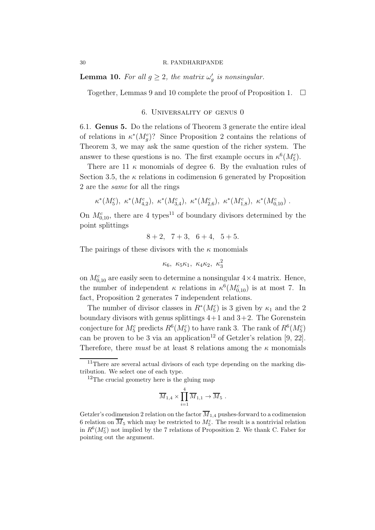#### 30 R. PANDHARIPANDE

**Lemma 10.** For all  $g \geq 2$ , the matrix  $\omega'_g$  is nonsingular.

Together, Lemmas 9 and 10 complete the proof of Proposition 1.  $\Box$ 

## 6. Universality of genus 0

6.1. Genus 5. Do the relations of Theorem 3 generate the entire ideal of relations in  $\kappa^*(M_g^c)$ ? Since Proposition 2 contains the relations of Theorem 3, we may ask the same question of the richer system. The answer to these questions is no. The first example occurs in  $\kappa^6(M_5^c)$ .

There are 11  $\kappa$  monomials of degree 6. By the evaluation rules of Section 3.5, the  $\kappa$  relations in codimension 6 generated by Proposition 2 are the *same* for all the rings

 $\kappa^*(M_5^c)$ ,  $\kappa^*(M_{4,2}^c)$ ,  $\kappa^*(M_{3,4}^c)$ ,  $\kappa^*(M_{2,6}^c)$ ,  $\kappa^*(M_{1,8}^c)$ ,  $\kappa^*(M_{0,10}^c)$ .

On  $M_{0,10}^c$ , there are 4 types<sup>11</sup> of boundary divisors determined by the point splittings

 $8 + 2$ ,  $7 + 3$ ,  $6 + 4$ ,  $5 + 5$ .

The pairings of these divisors with the  $\kappa$  monomials

$$
\kappa_6, \ \kappa_5\kappa_1, \ \kappa_4\kappa_2, \ \kappa_3^2
$$

on  $M_{0,10}^c$  are easily seen to determine a nonsingular  $4 \times 4$  matrix. Hence, the number of independent  $\kappa$  relations in  $\kappa^6(M_{0,10}^c)$  is at most 7. In fact, Proposition 2 generates 7 independent relations.

The number of divisor classes in  $R^*(M_5^c)$  is 3 given by  $\kappa_1$  and the 2 boundary divisors with genus splittings  $4+1$  and  $3+2$ . The Gorenstein conjecture for  $M_5^c$  predicts  $R^6(M_5^c)$  to have rank 3. The rank of  $R^6(M_5^c)$ can be proven to be 3 via an application<sup>12</sup> of Getzler's relation [9, 22]. Therefore, there *must* be at least 8 relations among the  $\kappa$  monomials

$$
\overline{M}_{1,4} \times \prod_{i=1}^{4} \overline{M}_{1,1} \to \overline{M}_{5} .
$$

<sup>&</sup>lt;sup>11</sup>There are several actual divisors of each type depending on the marking distribution. We select one of each type.

<sup>&</sup>lt;sup>12</sup>The crucial geometry here is the gluing map

Getzler's codimension 2 relation on the factor  $\overline{M}_{1,4}$  pushes-forward to a codimension 6 relation on  $\overline{M}_5$  which may be restricted to  $M_5^c$ . The result is a nontrivial relation in  $R^6(M_5^c)$  not implied by the 7 relations of Proposition 2. We thank C. Faber for pointing out the argument.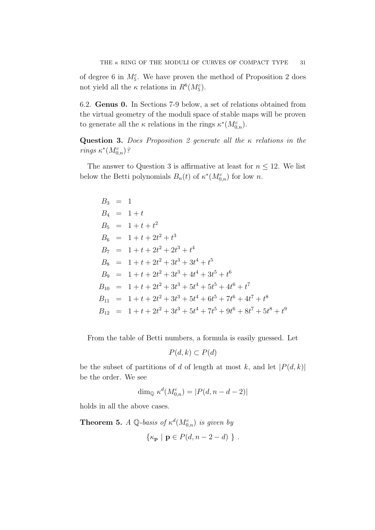of degree 6 in  $M_5^c$ . We have proven the method of Proposition 2 does not yield all the  $\kappa$  relations in  $R^6(M_5^c)$ .

6.2. Genus 0. In Sections 7-9 below, a set of relations obtained from the virtual geometry of the moduli space of stable maps will be proven to generate all the  $\kappa$  relations in the rings  $\kappa^*(M_{0,n}^c)$ .

Question 3. *Does Proposition 2 generate all the* κ *relations in the rings*  $\kappa^*(M_{0,n}^c)$ ?

The answer to Question 3 is affirmative at least for  $n \leq 12$ . We list below the Betti polynomials  $B_n(t)$  of  $\kappa^*(M_{0,n}^c)$  for low n.

$$
B_3 = 1
$$
  
\n
$$
B_4 = 1 + t
$$
  
\n
$$
B_5 = 1 + t + t^2
$$
  
\n
$$
B_6 = 1 + t + 2t^2 + t^3
$$
  
\n
$$
B_7 = 1 + t + 2t^2 + 2t^3 + t^4
$$
  
\n
$$
B_8 = 1 + t + 2t^2 + 3t^3 + 3t^4 + t^5
$$
  
\n
$$
B_9 = 1 + t + 2t^2 + 3t^3 + 4t^4 + 3t^5 + t^6
$$
  
\n
$$
B_{10} = 1 + t + 2t^2 + 3t^3 + 5t^4 + 5t^5 + 4t^6 + t^7
$$
  
\n
$$
B_{11} = 1 + t + 2t^2 + 3t^3 + 5t^4 + 6t^5 + 7t^6 + 4t^7 + t^8
$$
  
\n
$$
B_{12} = 1 + t + 2t^2 + 3t^3 + 5t^4 + 7t^5 + 9t^6 + 8t^7 + 5t^8 + t^9
$$

From the table of Betti numbers, a formula is easily guessed. Let

$$
P(d,k) \subset P(d)
$$

be the subset of partitions of d of length at most k, and let  $|P(d, k)|$ be the order. We see

$$
\dim_{\mathbb{Q}} \kappa^d(M_{0,n}^c) = |P(d, n-d-2)|
$$

holds in all the above cases.

**Theorem 5.** *A*  $\mathbb{Q}$ -basis of  $\kappa^d(M_{0,n}^c)$  is given by  $\{\kappa_{\mathbf{p}} \mid \mathbf{p} \in P(d, n-2-d)\}$ .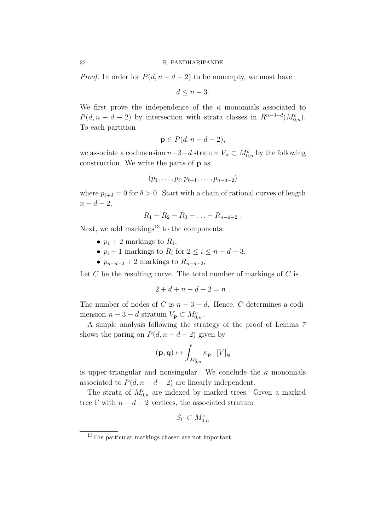#### 32 R. PANDHARIPANDE

*Proof.* In order for  $P(d, n - d - 2)$  to be nonempty, we must have

 $d \leq n-3$ .

We first prove the independence of the  $\kappa$  monomials associated to  $P(d, n - d - 2)$  by intersection with strata classes in  $R^{n-3-d}(M_{0,n}^c)$ . To each partition

$$
\mathbf{p} \in P(d, n-d-2),
$$

we associate a codimension  $n-3-d$  stratum  $V_{\mathbf{p}} \subset M_{0,n}^c$  by the following construction. We write the parts of p as

$$
(p_1,\ldots,p_\ell,p_{\ell+1},\ldots,p_{n-d-2})
$$

where  $p_{\ell+\delta} = 0$  for  $\delta > 0$ . Start with a chain of rational curves of length  $n-d-2$ ,

$$
R_1 - R_2 - R_3 - \ldots - R_{n-d-2} \ .
$$

Next, we add markings<sup>13</sup> to the components:

- $p_1 + 2$  markings to  $R_1$ ,
- $p_i + 1$  markings to  $R_i$  for  $2 \leq i \leq n d 3$ ,
- $p_{n-d-2} + 2$  markings to  $R_{n-d-2}$ ,

Let  $C$  be the resulting curve. The total number of markings of  $C$  is

$$
2 + d + n - d - 2 = n .
$$

The number of nodes of C is  $n-3-d$ . Hence, C determines a codimension  $n-3-d$  stratum  $V_{\mathbf{p}} \subset M_{0,n}^c$ .

A simple analysis following the strategy of the proof of Lemma 7 shows the paring on  $P(d, n - d - 2)$  given by

$$
(\mathbf{p},\mathbf{q})\mapsto \int_{M_{0,n}^c}\kappa_\mathbf{p}\cdot [V]_{\mathbf{q}}
$$

is upper-triangular and nonsingular. We conclude the  $\kappa$  monomials associated to  $P(d, n - d - 2)$  are linearly independent.

The strata of  $M_{0,n}^c$  are indexed by marked trees. Given a marked tree  $\Gamma$  with  $n - d - 2$  vertices, the associated stratum

$$
S_{\Gamma} \subset M_{0,n}^c
$$

<sup>13</sup>The particular markings chosen are not important.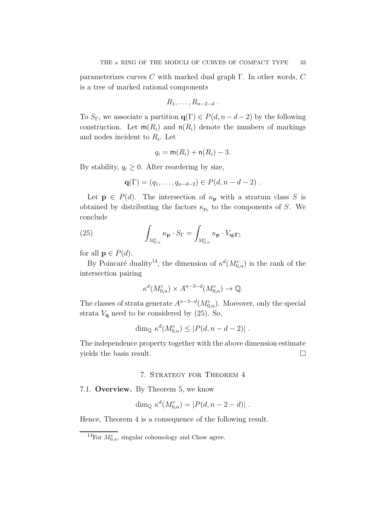parameterizes curves C with marked dual graph  $\Gamma$ . In other words, C is a tree of marked rational components

$$
R_1,\ldots,R_{n-2-d} .
$$

To  $S_{\Gamma}$ , we associate a partition  $q(\Gamma) \in P(d, n-d-2)$  by the following construction. Let  $m(R_i)$  and  $n(R_i)$  denote the numbers of markings and nodes incident to  $R_i$ . Let

$$
q_i = \mathsf{m}(R_i) + \mathsf{n}(R_i) - 3.
$$

By stability,  $q_i \geq 0$ . After reordering by size,

$$
\mathbf{q}(\Gamma) = (q_1, \ldots, q_{n-d-2}) \in P(d, n-d-2) \; .
$$

Let  $p \in P(d)$ . The intersection of  $\kappa_p$  with a stratum class S is obtained by distributing the factors  $\kappa_{p_i}$  to the components of S. We conclude

(25) 
$$
\int_{M_{0,n}^c} \kappa_{\mathbf{p}} \cdot S_{\Gamma} = \int_{M_{0,n}^c} \kappa_{\mathbf{p}} \cdot V_{\mathbf{q}(\mathbf{\Gamma})}
$$

for all  $p \in P(d)$ .

By Poincaré duality<sup>14</sup>, the dimension of  $\kappa^d(M_{0,n}^c)$  is the rank of the intersection pairing

$$
\kappa^d(M_{0,n}^c) \times A^{n-3-d}(M_{0,n}^c) \to \mathbb{Q}.
$$

The classes of strata generate  $A^{n-3-d}(M_{0,n}^c)$ . Moreover, only the special strata  $V_{\mathbf{q}}$  need to be considered by (25). So,

$$
\dim_{\mathbb{Q}} \kappa^d(M_{0,n}^c) \le |P(d, n-d-2)|.
$$

The independence property together with the above dimension estimate yields the basis result.

# 7. Strategy for Theorem 4

7.1. Overview. By Theorem 5, we know

$$
\dim_{\mathbb{Q}} \kappa^d(M^c_{0,n}) = |P(d, n-2-d)|.
$$

Hence, Theorem 4 is a consequence of the following result.

<sup>&</sup>lt;sup>14</sup>For  $M_{0,n}^c$ , singular cohomology and Chow agree.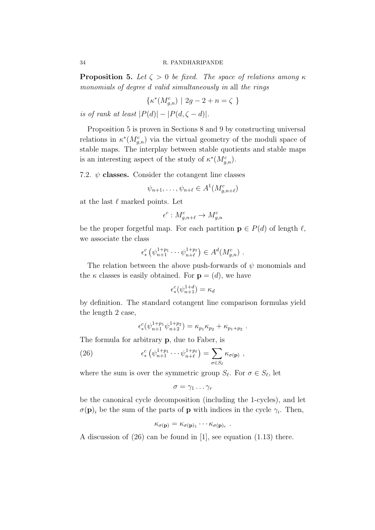**Proposition 5.** *Let*  $\zeta > 0$  *be fixed. The space of relations among*  $\kappa$ *monomials of degree* d *valid simultaneously in* all *the rings*

$$
\{\kappa^*(M_{g,n}^c) \mid 2g - 2 + n = \zeta \}
$$

*is of rank at least*  $|P(d)| - |P(d, \zeta - d)|$ *.* 

Proposition 5 is proven in Sections 8 and 9 by constructing universal relations in  $\kappa^*(M_{g,n}^c)$  via the virtual geometry of the moduli space of stable maps. The interplay between stable quotients and stable maps is an interesting aspect of the study of  $\kappa^*(M_{g,n}^c)$ .

7.2.  $\psi$  classes. Consider the cotangent line classes

$$
\psi_{n+1}, \dots, \psi_{n+\ell} \in A^1(M_{g,n+\ell}^c)
$$

at the last  $\ell$  marked points. Let

$$
\epsilon^c: M_{g,n+\ell}^c \to M_{g,n}^c
$$

be the proper forgetful map. For each partition  $p \in P(d)$  of length  $\ell$ , we associate the class

$$
\epsilon_*^c \left( \psi_{n+1}^{1+p_1} \cdots \psi_{n+\ell}^{1+p_\ell} \right) \in A^d(M_{g,n}^c) \ .
$$

The relation between the above push-forwards of  $\psi$  monomials and the  $\kappa$  classes is easily obtained. For  $\mathbf{p} = (d)$ , we have

$$
\epsilon_*^c(\psi_{n+1}^{1+d}) = \kappa_d
$$

by definition. The standard cotangent line comparison formulas yield the length 2 case,

$$
\epsilon_*^c(\psi_{n+1}^{1+p_1}\psi_{n+2}^{1+p_2}) = \kappa_{p_1}\kappa_{p_2} + \kappa_{p_1+p_2}.
$$

The formula for arbitrary p, due to Faber, is

(26) 
$$
\epsilon_*^c \left( \psi_{n+1}^{1+p_1} \cdots \psi_{n+\ell}^{1+p_\ell} \right) = \sum_{\sigma \in S_\ell} \kappa_{\sigma(\mathbf{p})} ,
$$

where the sum is over the symmetric group  $S_{\ell}$ . For  $\sigma \in S_{\ell}$ , let

$$
\sigma=\gamma_1\ldots\gamma_r
$$

be the canonical cycle decomposition (including the 1-cycles), and let  $\sigma(\mathbf{p})_i$  be the sum of the parts of **p** with indices in the cycle  $\gamma_i$ . Then,

$$
\kappa_{\sigma(\mathbf{p})} = \kappa_{\sigma(\mathbf{p})_1} \cdots \kappa_{\sigma(\mathbf{p})_r} .
$$

A discussion of (26) can be found in [1], see equation (1.13) there.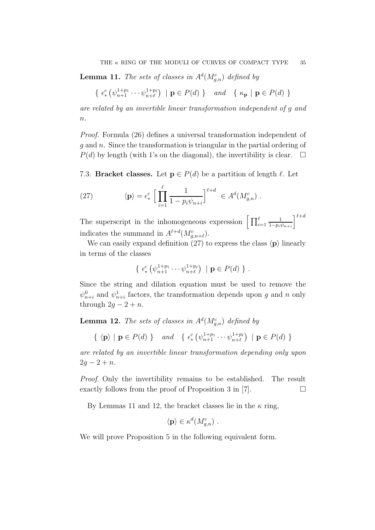**Lemma 11.** The sets of classes in  $A<sup>d</sup>(M<sub>g,n</sub><sup>c</sup>)$  defined by

$$
\{ \epsilon^c_* \left( \psi_{n+1}^{1+p_1} \cdots \psi_{n+\ell}^{1+p_\ell} \right) \mid \mathbf{p} \in P(d) \} \quad \text{and} \quad \{ \kappa_\mathbf{p} \mid \mathbf{p} \in P(d) \}
$$

*are related by an invertible linear transformation independent of* g *and* n*.*

*Proof.* Formula (26) defines a universal transformation independent of  $g$  and  $n$ . Since the transformation is triangular in the partial ordering of  $P(d)$  by length (with 1's on the diagonal), the invertibility is clear.  $\Box$ 

7.3. Bracket classes. Let  $p \in P(d)$  be a partition of length  $\ell$ . Let

(27) 
$$
\langle \mathbf{p} \rangle = \epsilon_*^c \left[ \prod_{i=1}^{\ell} \frac{1}{1 - p_i \psi_{n+i}} \right]^{\ell+d} \in A^d(M_{g,n}^c) .
$$

The superscript in the inhomogeneous expression  $\left[ \prod_{i=1}^{\ell} \right]$ 1  $1-p_i\psi_{n+i}$  $\mathcal{I}^{\ell+d}$ indicates the summand in  $A^{\ell+d}(M_{g,n+\ell}^c)$ .

We can easily expand definition (27) to express the class  $\langle \mathbf{p} \rangle$  linearly in terms of the classes

$$
\{ \epsilon^c_* \left( \psi_{n+1}^{1+p_1} \cdots \psi_{n+\ell}^{1+p_\ell} \right) \mid \mathbf{p} \in P(d) \} .
$$

Since the string and dilation equation must be used to remove the  $\psi_{n+i}^0$  and  $\psi_{n+i}^1$  factors, the transformation depends upon g and n only through  $2g - 2 + n$ .

**Lemma 12.** The sets of classes in  $A<sup>d</sup>(M<sub>g,n</sub><sup>c</sup>)$  defined by

 $\{\langle \mathbf{p} \rangle \mid \mathbf{p} \in P(d) \}$  *and*  $\{\epsilon^c_*$  $_{*}^{c}\left( \psi_{n+1}^{1+p_{1}}\cdot\cdot\cdot\psi_{n+\ell}^{1+p_{\ell}}\right)$  $\binom{1+p_{\ell}}{n+\ell}$  |  $\mathbf{p} \in P(d)$  }

*are related by an invertible linear transformation depending only upon*  $2g - 2 + n$ .

*Proof.* Only the invertibility remains to be established. The result exactly follows from the proof of Proposition 3 in [7].  $\Box$ 

By Lemmas 11 and 12, the bracket classes lie in the  $\kappa$  ring,

$$
\langle \mathbf{p} \rangle \in \kappa^d(M_{g,n}^c) \ .
$$

We will prove Proposition 5 in the following equivalent form.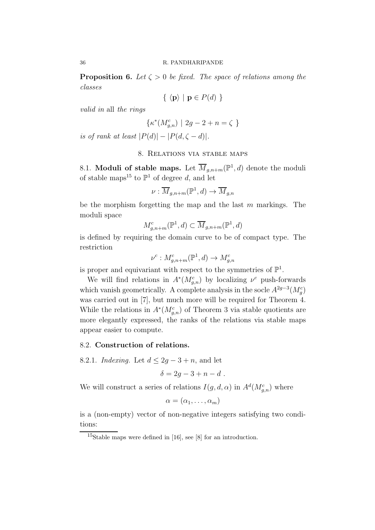**Proposition 6.** Let  $\zeta > 0$  be fixed. The space of relations among the *classes*

$$
\{ \langle \mathbf{p} \rangle \mid \mathbf{p} \in P(d) \}
$$

*valid in* all *the rings*

$$
\{\kappa^*(M_{g,n}^c) \ | \ 2g-2+n = \zeta \ \}
$$

*is of rank at least*  $|P(d)| - |P(d, \zeta - d)|$ *.* 

# 8. Relations via stable maps

8.1. Moduli of stable maps. Let  $\overline{M}_{g,n+m}(\mathbb{P}^1,d)$  denote the moduli of stable maps<sup>15</sup> to  $\mathbb{P}^1$  of degree d, and let

$$
\nu: \overline{M}_{g,n+m}(\mathbb{P}^1, d) \to \overline{M}_{g,n}
$$

be the morphism forgetting the map and the last  $m$  markings. The moduli space

$$
M_{g,n+m}^c(\mathbb{P}^1,d) \subset \overline{M}_{g,n+m}(\mathbb{P}^1,d)
$$

is defined by requiring the domain curve to be of compact type. The restriction

$$
\nu^c: M_{g,n+m}^c(\mathbb{P}^1, d) \to M_{g,n}^c
$$

is proper and equivariant with respect to the symmetries of  $\mathbb{P}^1$ .

We will find relations in  $A^*(M_{g,n}^c)$  by localizing  $\nu^c$  push-forwards which vanish geometrically. A complete analysis in the socle  $A^{2g-3}(M_g^c)$ was carried out in [7], but much more will be required for Theorem 4. While the relations in  $A^*(M_{g,n}^c)$  of Theorem 3 via stable quotients are more elegantly expressed, the ranks of the relations via stable maps appear easier to compute.

## 8.2. Construction of relations.

8.2.1. *Indexing.* Let  $d \leq 2g - 3 + n$ , and let

$$
\delta = 2g - 3 + n - d \; .
$$

We will construct a series of relations  $I(g, d, \alpha)$  in  $A^d(M_{g,n}^c)$  where

$$
\alpha=(\alpha_1,\ldots,\alpha_m)
$$

is a (non-empty) vector of non-negative integers satisfying two conditions:

<sup>15</sup>Stable maps were defined in [16], see [8] for an introduction.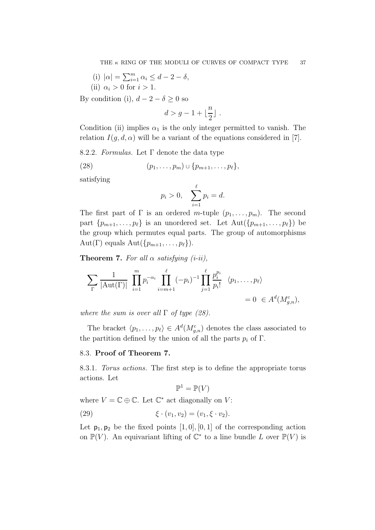(i) 
$$
|\alpha| = \sum_{i=1}^{m} \alpha_i \le d - 2 - \delta
$$
,  
(ii)  $\alpha_i > 0$  for  $i > 1$ .

By condition (i),  $d - 2 - \delta \geq 0$  so

$$
d > g-1 + \lfloor \frac{n}{2} \rfloor \; .
$$

Condition (ii) implies  $\alpha_1$  is the only integer permitted to vanish. The relation  $I(g, d, \alpha)$  will be a variant of the equations considered in [7].

8.2.2. *Formulas.* Let Γ denote the data type

(28) 
$$
(p_1, \ldots, p_m) \cup \{p_{m+1}, \ldots, p_\ell\},\
$$

satisfying

$$
p_i > 0
$$
,  $\sum_{i=1}^{\ell} p_i = d$ .

The first part of  $\Gamma$  is an ordered m-tuple  $(p_1, \ldots, p_m)$ . The second part  $\{p_{m+1}, \ldots, p_\ell\}$  is an unordered set. Let  $\text{Aut}(\{p_{m+1}, \ldots, p_\ell\})$  be the group which permutes equal parts. The group of automorphisms Aut(Γ) equals Aut( $\{p_{m+1}, \ldots, p_\ell\}$ ).

**Theorem 7.** For all  $\alpha$  satisfying (*i-ii*),

$$
\sum_{\Gamma} \frac{1}{|\text{Aut}(\Gamma)|} \prod_{i=1}^{m} p_i^{-\alpha_i} \prod_{i=m+1}^{\ell} (-p_i)^{-1} \prod_{j=1}^{\ell} \frac{p_i^{p_i}}{p_i!} \langle p_1, \dots, p_{\ell} \rangle
$$
  
= 0 \in A<sup>d</sup>(M<sub>g,n</sub><sup>c</sup>),

*where the sum is over all* Γ *of type (28).*

The bracket  $\langle p_1, \ldots, p_\ell \rangle \in A^d(M_{g,n}^c)$  denotes the class associated to the partition defined by the union of all the parts  $p_i$  of  $\Gamma$ .

#### 8.3. Proof of Theorem 7.

8.3.1. *Torus actions.* The first step is to define the appropriate torus actions. Let

$$
\mathbb{P}^1 = \mathbb{P}(V)
$$

where  $V = \mathbb{C} \oplus \mathbb{C}$ . Let  $\mathbb{C}^*$  act diagonally on V:

(29) 
$$
\xi \cdot (v_1, v_2) = (v_1, \xi \cdot v_2).
$$

Let  $p_1, p_2$  be the fixed points  $[1, 0], [0, 1]$  of the corresponding action on  $\mathbb{P}(V)$ . An equivariant lifting of  $\mathbb{C}^*$  to a line bundle L over  $\mathbb{P}(V)$  is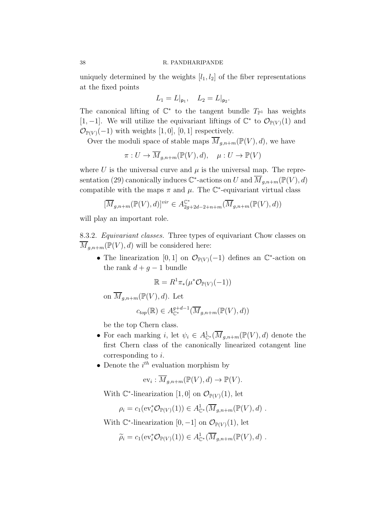#### 38 R. PANDHARIPANDE

uniquely determined by the weights  $[l_1, l_2]$  of the fiber representations at the fixed points

$$
L_1 = L|_{\mathsf{p}_1}, \quad L_2 = L|_{\mathsf{p}_2}.
$$

The canonical lifting of  $\mathbb{C}^*$  to the tangent bundle  $T_{\mathbb{P}^1}$  has weights [1, -1]. We will utilize the equivariant liftings of  $\mathbb{C}^*$  to  $\mathcal{O}_{\mathbb{P}(V)}(1)$  and  $\mathcal{O}_{\mathbb{P}(V)}(-1)$  with weights [1,0], [0, 1] respectively.

Over the moduli space of stable maps  $\overline{M}_{q,n+m}(\mathbb{P}(V), d)$ , we have

$$
\pi: U \to \overline{M}_{g,n+m}(\mathbb{P}(V), d), \quad \mu: U \to \mathbb{P}(V)
$$

where U is the universal curve and  $\mu$  is the universal map. The representation (29) canonically induces  $\mathbb{C}^*$ -actions on U and  $\overline{M}_{g,n+m}(\mathbb{P}(V),d)$ compatible with the maps  $\pi$  and  $\mu$ . The  $\mathbb{C}^*$ -equivariant virtual class

$$
[\overline{M}_{g,n+m}(\mathbb{P}(V),d)]^{vir} \in A_{2g+2d-2+n+m}^{\mathbb{C}^*}(\overline{M}_{g,n+m}(\mathbb{P}(V),d))
$$

will play an important role.

8.3.2. *Equivariant classes.* Three types of equivariant Chow classes on  $\overline{M}_{a,n+m}(\mathbb{P}(V),d)$  will be considered here:

• The linearization [0, 1] on  $\mathcal{O}_{\mathbb{P}(V)}(-1)$  defines an  $\mathbb{C}^*$ -action on the rank  $d + g - 1$  bundle

$$
\mathbb{R} = R^1 \pi_*(\mu^* \mathcal{O}_{\mathbb{P}(V)}(-1))
$$

on  $\overline{M}_{g,n+m}(\mathbb{P}(V),d)$ . Let

$$
c_{top}(\mathbb{R}) \in A_{\mathbb{C}^*}^{g+d-1}(\overline{M}_{g,n+m}(\mathbb{P}(V),d))
$$

be the top Chern class.

- For each marking *i*, let  $\psi_i \in A_{\mathbb{C}^*}^1(\overline{M}_{g,n+m}(\mathbb{P}(V),d))$  denote the first Chern class of the canonically linearized cotangent line corresponding to i.
- Denote the  $i^{th}$  evaluation morphism by

$$
\mathrm{ev}_i: \overline{M}_{g,n+m}(\mathbb{P}(V),d) \to \mathbb{P}(V).
$$

With  $\mathbb{C}^*$ -linearization [1,0] on  $\mathcal{O}_{\mathbb{P}(V)}(1)$ , let

$$
\rho_i = c_1(\mathrm{ev}_i^* \mathcal{O}_{\mathbb{P}(V)}(1)) \in A^1_{\mathbb{C}^*}(\overline{M}_{g,n+m}(\mathbb{P}(V),d) .
$$

With  $\mathbb{C}^*$ -linearization  $[0, -1]$  on  $\mathcal{O}_{\mathbb{P}(V)}(1)$ , let

$$
\widetilde{\rho}_i = c_1(\mathrm{ev}_i^* \mathcal{O}_{\mathbb{P}(V)}(1)) \in A^1_{\mathbb{C}^*}(\overline{M}_{g,n+m}(\mathbb{P}(V),d) .
$$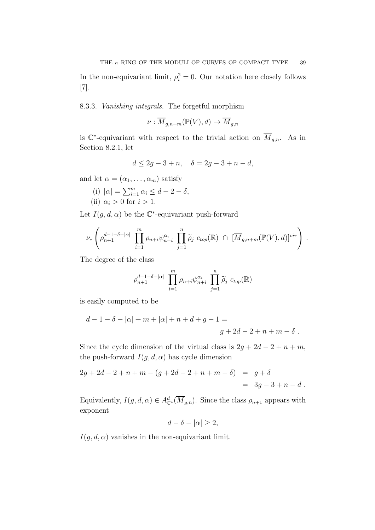In the non-equivariant limit,  $\rho_i^2 = 0$ . Our notation here closely follows [7].

# 8.3.3. *Vanishing integrals.* The forgetful morphism

$$
\nu: \overline{M}_{g,n+m}(\mathbb{P}(V),d) \to \overline{M}_{g,n}
$$

is  $\mathbb{C}^*$ -equivariant with respect to the trivial action on  $\overline{M}_{g,n}$ . As in Section 8.2.1, let

$$
d \le 2g - 3 + n, \quad \delta = 2g - 3 + n - d,
$$

and let  $\alpha = (\alpha_1, \ldots, \alpha_m)$  satisfy

(i) 
$$
|\alpha| = \sum_{i=1}^{m} \alpha_i \le d - 2 - \delta
$$
,  
(ii)  $\alpha_i > 0$  for  $i > 1$ .

Let  $I(g, d, \alpha)$  be the  $\mathbb{C}^*$ -equivariant push-forward

$$
\nu_*\left(\rho_{n+1}^{d-1-\delta-|\alpha|}\prod_{i=1}^m\rho_{n+i}\psi_{n+i}^{\alpha_i}\prod_{j=1}^n\widetilde{\rho}_j\ c_{top}(\mathbb{R})\ \cap\ [\overline{M}_{g,n+m}(\mathbb{P}(V),d)]^{vir}\right)\ .
$$

The degree of the class

$$
\rho_{n+1}^{d-1-\delta-|\alpha|} \prod_{i=1}^m \rho_{n+i} \psi_{n+i}^{\alpha_i} \prod_{j=1}^n \widetilde{\rho}_j \ c_{top}(\mathbb{R})
$$

is easily computed to be

$$
d-1 - \delta - |\alpha| + m + |\alpha| + n + d + g - 1 =
$$
  

$$
g + 2d - 2 + n + m - \delta.
$$

Since the cycle dimension of the virtual class is  $2g + 2d - 2 + n + m$ , the push-forward  $I(g, d, \alpha)$  has cycle dimension

$$
2g + 2d - 2 + n + m - (g + 2d - 2 + n + m - \delta) = g + \delta
$$
  
= 3g - 3 + n - d.

Equivalently,  $I(g, d, \alpha) \in A^d_{\mathbb{C}^*}(\overline{M}_{g,n})$ . Since the class  $\rho_{n+1}$  appears with exponent

$$
d - \delta - |\alpha| \ge 2,
$$

 $I(g, d, \alpha)$  vanishes in the non-equivariant limit.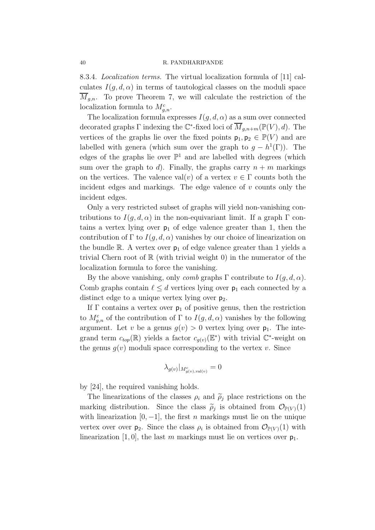8.3.4. *Localization terms.* The virtual localization formula of [11] calculates  $I(q, d, \alpha)$  in terms of tautological classes on the moduli space  $M_{g,n}$ . To prove Theorem 7, we will calculate the restriction of the localization formula to  $M_{g,n}^c$ .

The localization formula expresses  $I(g, d, \alpha)$  as a sum over connected decorated graphs  $\Gamma$  indexing the  $\mathbb{C}^*$ -fixed loci of  $\overline{M}_{g,n+m}(\mathbb{P}(V),d)$ . The vertices of the graphs lie over the fixed points  $p_1, p_2 \in \mathbb{P}(V)$  and are labelled with genera (which sum over the graph to  $g - h^1(\Gamma)$ ). The edges of the graphs lie over  $\mathbb{P}^1$  and are labelled with degrees (which sum over the graph to d). Finally, the graphs carry  $n + m$  markings on the vertices. The valence val $(v)$  of a vertex  $v \in \Gamma$  counts both the incident edges and markings. The edge valence of  $v$  counts only the incident edges.

Only a very restricted subset of graphs will yield non-vanishing contributions to  $I(q, d, \alpha)$  in the non-equivariant limit. If a graph  $\Gamma$  contains a vertex lying over  $p_1$  of edge valence greater than 1, then the contribution of  $\Gamma$  to  $I(q,d,\alpha)$  vanishes by our choice of linearization on the bundle R. A vertex over  $p_1$  of edge valence greater than 1 yields a trivial Chern root of  $\mathbb R$  (with trivial weight 0) in the numerator of the localization formula to force the vanishing.

By the above vanishing, only *comb* graphs  $\Gamma$  contribute to  $I(q, d, \alpha)$ . Comb graphs contain  $\ell \leq d$  vertices lying over  $p_1$  each connected by a distinct edge to a unique vertex lying over  $p_2$ .

If  $\Gamma$  contains a vertex over  $p_1$  of positive genus, then the restriction to  $M_{g,n}^c$  of the contribution of  $\Gamma$  to  $I(g,d,\alpha)$  vanishes by the following argument. Let v be a genus  $g(v) > 0$  vertex lying over  $p_1$ . The integrand term  $c_{top}(\mathbb{R})$  yields a factor  $c_{g(v)}(\mathbb{E}^*)$  with trivial  $\mathbb{C}^*$ -weight on the genus  $q(v)$  moduli space corresponding to the vertex v. Since

$$
\lambda_{g(v)}|_{M^c_{g(v),\text{val}(v)}}=0
$$

by [24], the required vanishing holds.

The linearizations of the classes  $\rho_i$  and  $\tilde{\rho}_j$  place restrictions on the marking distribution. Since the class  $\tilde{\rho}_j$  is obtained from  $\mathcal{O}_{\mathbb{P}(V)}(1)$ with linearization  $[0, -1]$ , the first *n* markings must lie on the unique vertex over over  $p_2$ . Since the class  $\rho_i$  is obtained from  $\mathcal{O}_{\mathbb{P}(V)}(1)$  with linearization [1, 0], the last m markings must lie on vertices over  $p_1$ .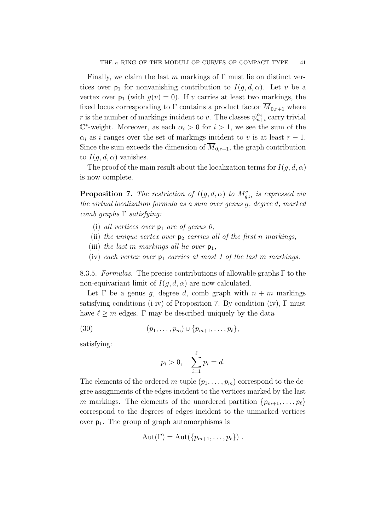Finally, we claim the last m markings of  $\Gamma$  must lie on distinct vertices over  $p_1$  for nonvanishing contribution to  $I(q, d, \alpha)$ . Let v be a vertex over  $p_1$  (with  $g(v) = 0$ ). If v carries at least two markings, the fixed locus corresponding to Γ contains a product factor  $\overline{M}_{0,r+1}$  where r is the number of markings incident to v. The classes  $\psi_{n+i}^{\alpha_i}$  carry trivial  $\mathbb{C}^*$ -weight. Moreover, as each  $\alpha_i > 0$  for  $i > 1$ , we see the sum of the  $\alpha_i$  as i ranges over the set of markings incident to v is at least  $r-1$ . Since the sum exceeds the dimension of  $\overline{M}_{0,r+1}$ , the graph contribution to  $I(q, d, \alpha)$  vanishes.

The proof of the main result about the localization terms for  $I(g, d, \alpha)$ is now complete.

**Proposition 7.** The restriction of  $I(g, d, \alpha)$  to  $M_{g,n}^c$  is expressed via *the virtual localization formula as a sum over genus* g*, degree* d*, marked comb graphs* Γ *satisfying:*

- (i) *all vertices over*  $p_1$  *are of genus 0,*
- (ii) the unique vertex over  $p_2$  carries all of the first n markings,
- (iii) *the last* m markings all lie over  $p_1$ ,
- (iv) *each vertex over*  $p_1$  *carries at most 1 of the last m markings.*

8.3.5. *Formulas.* The precise contributions of allowable graphs Γ to the non-equivariant limit of  $I(q, d, \alpha)$  are now calculated.

Let  $\Gamma$  be a genus q, degree d, comb graph with  $n + m$  markings satisfying conditions (i-iv) of Proposition 7. By condition (iv), Γ must have  $\ell > m$  edges.  $\Gamma$  may be described uniquely by the data

(30) 
$$
(p_1, ..., p_m) \cup \{p_{m+1}, ..., p_\ell\},\
$$

satisfying:

$$
p_i > 0
$$
,  $\sum_{i=1}^{\ell} p_i = d$ .

The elements of the ordered m-tuple  $(p_1, \ldots, p_m)$  correspond to the degree assignments of the edges incident to the vertices marked by the last m markings. The elements of the unordered partition  $\{p_{m+1}, \ldots, p_\ell\}$ correspond to the degrees of edges incident to the unmarked vertices over  $p_1$ . The group of graph automorphisms is

$$
Aut(\Gamma) = Aut({p_{m+1},...,p_{\ell}}).
$$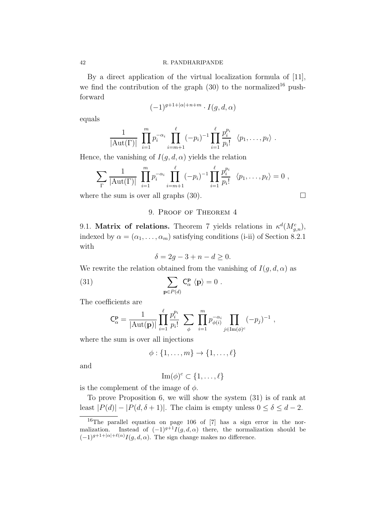#### 42 R. PANDHARIPANDE

By a direct application of the virtual localization formula of [11], we find the contribution of the graph  $(30)$  to the normalized<sup>16</sup> pushforward

$$
(-1)^{g+1+|\alpha|+n+m} \cdot I(g,d,\alpha)
$$

equals

$$
\frac{1}{|\mathrm{Aut}(\Gamma)|} \prod_{i=1}^{m} p_i^{-\alpha_i} \prod_{i=m+1}^{\ell} (-p_i)^{-1} \prod_{i=1}^{\ell} \frac{p_i^{p_i}}{p_i!} \langle p_1, \ldots, p_{\ell} \rangle .
$$

Hence, the vanishing of  $I(g, d, \alpha)$  yields the relation

$$
\sum_{\Gamma} \frac{1}{|\mathrm{Aut}(\Gamma)|} \prod_{i=1}^{m} p_i^{-\alpha_i} \prod_{i=m+1}^{\ell} (-p_i)^{-1} \prod_{i=1}^{\ell} \frac{p_i^{p_i}}{p_i!} \ \langle p_1, \ldots, p_{\ell} \rangle = 0 ,
$$

where the sum is over all graphs  $(30)$ .

# 9. Proof of Theorem 4

9.1. Matrix of relations. Theorem 7 yields relations in  $\kappa^d(M_{g,n}^c)$ , indexed by  $\alpha = (\alpha_1, \ldots, \alpha_m)$  satisfying conditions (i-ii) of Section 8.2.1 with

$$
\delta = 2g - 3 + n - d \ge 0.
$$

We rewrite the relation obtained from the vanishing of  $I(g, d, \alpha)$  as

(31) 
$$
\sum_{\mathbf{p}\in P(d)} \mathbf{C}_{\alpha}^{\mathbf{p}} \langle \mathbf{p} \rangle = 0.
$$

The coefficients are

$$
C_{\alpha}^{\mathbf{p}} = \frac{1}{|\text{Aut}(\mathbf{p})|} \prod_{i=1}^{\ell} \frac{p_i^{p_i}}{p_i!} \sum_{\phi} \prod_{i=1}^{m} p_{\phi(i)}^{-\alpha_i} \prod_{j \in \text{Im}(\phi)^c} (-p_j)^{-1} ,
$$

where the sum is over all injections

$$
\phi:\{1,\ldots,m\}\to\{1,\ldots,\ell\}
$$

and

$$
\operatorname{Im}(\phi)^c \subset \{1, \ldots, \ell\}
$$

is the complement of the image of  $\phi$ .

To prove Proposition 6, we will show the system (31) is of rank at least  $|P(d)| - |P(d, \delta + 1)|$ . The claim is empty unless  $0 \le \delta \le d - 2$ .

<sup>16</sup>The parallel equation on page 106 of [7] has a sign error in the normalization. Instead of  $(-1)^{g+1}I(g, d, \alpha)$  there, the normalization should be  $(-1)^{g+1+|\alpha|+\ell(\alpha)} I(g,d,\alpha)$ . The sign change makes no difference.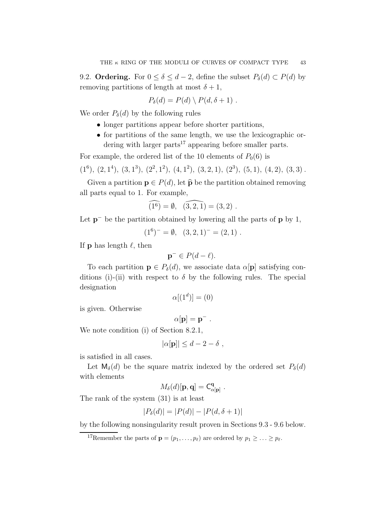9.2. **Ordering.** For  $0 \le \delta \le d - 2$ , define the subset  $P_{\delta}(d) \subset P(d)$  by removing partitions of length at most  $\delta + 1$ ,

$$
P_{\delta}(d) = P(d) \setminus P(d, \delta + 1) .
$$

We order  $P_{\delta}(d)$  by the following rules

- longer partitions appear before shorter partitions,
- for partitions of the same length, we use the lexicographic ordering with larger parts $17$  appearing before smaller parts.

For example, the ordered list of the 10 elements of  $P_0(6)$  is

 $(1^6)$ ,  $(2, 1^4)$ ,  $(3, 1^3)$ ,  $(2^2, 1^2)$ ,  $(4, 1^2)$ ,  $(3, 2, 1)$ ,  $(2^3)$ ,  $(5, 1)$ ,  $(4, 2)$ ,  $(3, 3)$ .

Given a partition  $p \in P(d)$ , let  $\hat{p}$  be the partition obtained removing all parts equal to 1. For example,

$$
\widehat{(1^6)} = \emptyset, \ \widehat{(3,2,1)} = (3,2) \ .
$$

Let  $p^-$  be the partition obtained by lowering all the parts of  $p$  by 1,

$$
(16)- = \emptyset, (3,2,1)- = (2,1).
$$

If **p** has length  $\ell$ , then

$$
\mathbf{p}^- \in P(d-\ell).
$$

To each partition  $\mathbf{p} \in P_{\delta}(d)$ , we associate data  $\alpha[\mathbf{p}]$  satisfying conditions (i)-(ii) with respect to  $\delta$  by the following rules. The special designation

$$
\alpha[(1^d)] = (0)
$$

is given. Otherwise

$$
\alpha[\mathbf{p}] = \mathbf{p}^-.
$$

We note condition (i) of Section 8.2.1,

$$
|\alpha[\mathbf{p}]| \leq d - 2 - \delta \;,
$$

is satisfied in all cases.

Let  $M_{\delta}(d)$  be the square matrix indexed by the ordered set  $P_{\delta}(d)$ with elements

$$
M_{\delta}(d)[\mathbf{p}, \mathbf{q}] = \mathsf{C}_{\alpha[\mathbf{p}]}^{\mathbf{q}}.
$$

The rank of the system (31) is at least

$$
|P_{\delta}(d)| = |P(d)| - |P(d, \delta + 1)|
$$

by the following nonsingularity result proven in Sections 9.3 - 9.6 below.

<sup>17</sup>Remember the parts of  $\mathbf{p} = (p_1, \ldots, p_\ell)$  are ordered by  $p_1 \geq \ldots \geq p_\ell$ .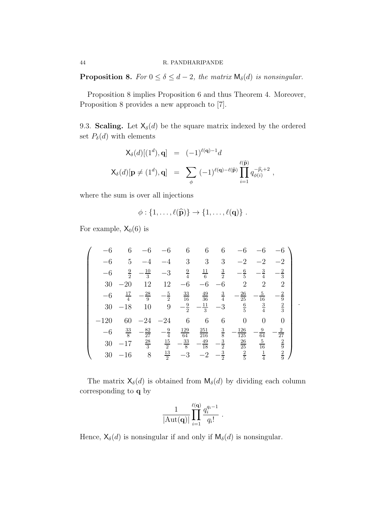**Proposition 8.** *For*  $0 \le \delta \le d - 2$ *, the matrix*  $M_{\delta}(d)$  *is nonsingular.* 

Proposition 8 implies Proposition 6 and thus Theorem 4. Moreover, Proposition 8 provides a new approach to [7].

9.3. Scaling. Let  $X_{\delta}(d)$  be the square matrix indexed by the ordered set  $P_{\delta}(d)$  with elements

$$
\mathsf{X}_{\delta}(d)[(1^d), \mathbf{q}] = (-1)^{\ell(\mathbf{q})-1}d
$$
  

$$
\mathsf{X}_{\delta}(d)[\mathbf{p} \neq (1^d), \mathbf{q}] = \sum_{\phi} (-1)^{\ell(\mathbf{q})-\ell(\widehat{\mathbf{p}})} \prod_{i=1}^{\ell(\widehat{\mathbf{p}})} q_{\phi(i)}^{-\widehat{p}_i+2},
$$

where the sum is over all injections

$$
\phi: \{1,\ldots,\ell(\widehat{\mathbf{p}})\}\to \{1,\ldots,\ell(\mathbf{q})\}.
$$

For example,  $X_0(6)$  is

$$
\begin{pmatrix}\n-6 & 6 & -6 & -6 & 6 & 6 & 6 & -6 & -6 & -6 \\
-6 & 5 & -4 & -4 & 3 & 3 & 3 & -2 & -2 & -2 \\
-6 & \frac{9}{2} & -\frac{10}{3} & -3 & \frac{9}{4} & \frac{11}{6} & \frac{3}{2} & -\frac{6}{5} & -\frac{3}{4} & -\frac{2}{3} \\
30 & -20 & 12 & 12 & -6 & -6 & -6 & 2 & 2 & 2 & 2 \\
-6 & \frac{17}{4} & -\frac{28}{9} & -\frac{5}{2} & \frac{33}{16} & \frac{49}{36} & \frac{3}{4} & -\frac{26}{25} & -\frac{5}{16} & -\frac{2}{9} \\
30 & -18 & 10 & 9 & -\frac{9}{2} & -\frac{11}{3} & -3 & \frac{6}{5} & \frac{3}{4} & \frac{2}{3} \\
-120 & 60 & -24 & -24 & 6 & 6 & 6 & 0 & 0 & 0 \\
-6 & \frac{33}{8} & -\frac{82}{27} & -\frac{9}{4} & \frac{129}{64} & \frac{251}{216} & \frac{3}{8} & -\frac{126}{125} & -\frac{9}{64} & -\frac{2}{27} \\
30 & -17 & \frac{28}{3} & \frac{15}{2} & -\frac{33}{8} & -\frac{49}{18} & -\frac{3}{2} & \frac{26}{25} & \frac{5}{16} & \frac{2}{9} \\
30 & -16 & 8 & \frac{13}{2} & -3 & -2 & -\frac{3}{2} & \frac{2}{5} & \frac{1}{4} & \frac{2}{9}\n\end{pmatrix}
$$

.

The matrix  $\mathsf{X}_{\delta}(d)$  is obtained from  $\mathsf{M}_{\delta}(d)$  by dividing each column corresponding to q by

$$
\frac{1}{|\text{Aut}(\mathbf{q})|} \prod_{i=1}^{\ell(\mathbf{q})} \frac{q_i^{q_i-1}}{q_i!} .
$$

Hence,  $\mathsf{X}_{\delta}(d)$  is nonsingular if and only if  $\mathsf{M}_{\delta}(d)$  is nonsingular.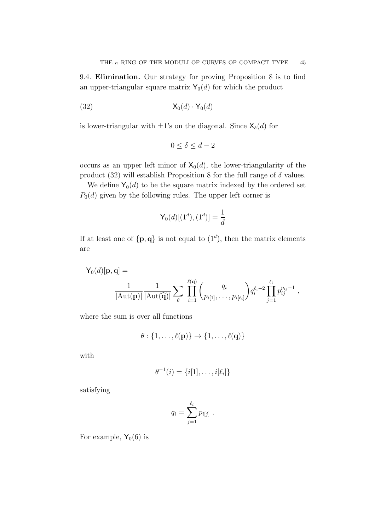9.4. Elimination. Our strategy for proving Proposition 8 is to find an upper-triangular square matrix  $Y_0(d)$  for which the product

$$
(32) \t\t X_0(d) \cdot Y_0(d)
$$

is lower-triangular with  $\pm 1$ 's on the diagonal. Since  $\mathsf{X}_{\delta}(d)$  for

$$
0 \le \delta \le d - 2
$$

occurs as an upper left minor of  $X_0(d)$ , the lower-triangularity of the product (32) will establish Proposition 8 for the full range of  $\delta$  values.

We define  $Y_0(d)$  to be the square matrix indexed by the ordered set  $P_0(d)$  given by the following rules. The upper left corner is

$$
\mathsf{Y}_{0}(d)[(1^{d}),(1^{d})]=\frac{1}{d}
$$

If at least one of  $\{p,q\}$  is not equal to  $(1^d)$ , then the matrix elements are

$$
\mathsf{Y}_{0}(d)[\mathbf{p},\mathbf{q}] = \frac{1}{|\mathrm{Aut}(\mathbf{p})|} \frac{1}{|\mathrm{Aut}(\widehat{\mathbf{q}})|} \sum_{\theta} \prod_{i=1}^{\ell(\mathbf{q})} {q_i \choose p_{i[1]},\ldots,p_{i[\ell_i]}} q_i^{\ell_i-2} \prod_{j=1}^{\ell_i} p_{ij}^{p_{ij}-1},
$$

where the sum is over all functions

$$
\theta: \{1,\ldots,\ell(\mathbf{p})\} \to \{1,\ldots,\ell(\mathbf{q})\}
$$

with

$$
\theta^{-1}(i) = \{i[1], \ldots, i[\ell_i]\}
$$

satisfying

$$
q_i = \sum_{j=1}^{\ell_i} p_{i[j]} \; .
$$

For example,  $Y_0(6)$  is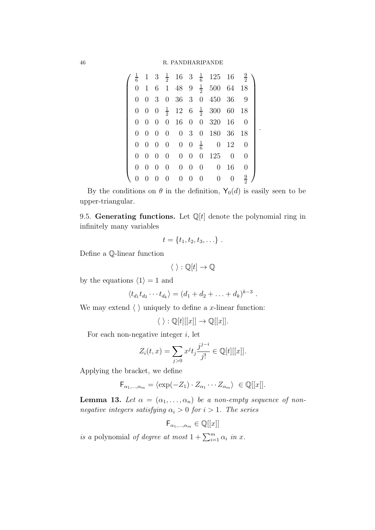|                |                   |                |                |             |                   | $1 \quad 3 \quad \frac{1}{2} \quad 16 \quad 3 \quad \frac{1}{6} \quad 125 \quad 16$ |                | $\frac{9}{2}$ |
|----------------|-------------------|----------------|----------------|-------------|-------------------|-------------------------------------------------------------------------------------|----------------|---------------|
| $\overline{0}$ |                   |                |                |             |                   | 1 6 1 48 9 $\frac{1}{2}$ 500 64 18                                                  |                |               |
| $\theta$       |                   |                |                |             |                   | $0 \t3 \t0 \t36 \t3 \t0 \t450 \t36 \t9$                                             |                |               |
|                |                   |                |                |             |                   | 0 0 0 $\frac{1}{2}$ 12 6 $\frac{1}{2}$ 300 60 18                                    |                |               |
| 0              | $0\quad 0$        |                |                |             |                   | 0 16 0 0 320 16                                                                     |                | $\theta$      |
| $\theta$       | $0\quad 0$        |                | $\overline{0}$ |             |                   | 0 3 0 180 36 18                                                                     |                |               |
|                | $0\quad 0\quad 0$ |                | $\overline{0}$ |             |                   | $0 \t 0 \t \frac{1}{6} \t 0 \t 12 \t 0$                                             |                |               |
| $\theta$       | $\overline{0}$    | $\overline{0}$ | $\overline{0}$ |             |                   | $0 \t 0 \t 0 \t 125$                                                                | $\overline{0}$ | 0             |
| $\overline{0}$ | $0\quad 0$        |                | $\overline{0}$ |             | $0\quad 0\quad 0$ |                                                                                     | $0\quad16$     | 0             |
|                |                   | $\theta$       | $\overline{0}$ | $0 \quad 0$ | $\overline{0}$    | $\overline{0}$                                                                      | $\theta$       | $\frac{9}{2}$ |

.

By the conditions on  $\theta$  in the definition,  $\mathsf{Y}_0(d)$  is easily seen to be upper-triangular.

9.5. Generating functions. Let  $\mathbb{Q}[t]$  denote the polynomial ring in infinitely many variables

$$
t = \{t_1, t_2, t_3, \ldots\}.
$$

Define a Q-linear function

$$
\langle \ \rangle: \mathbb{Q}[t] \to \mathbb{Q}
$$

by the equations  $\langle 1 \rangle = 1$  and

$$
\langle t_{d_1} t_{d_2} \cdots t_{d_k} \rangle = (d_1 + d_2 + \ldots + d_k)^{k-3}.
$$

We may extend  $\langle \ \rangle$  uniquely to define a x-linear function:

$$
\langle \ \rangle: \mathbb{Q}[t][[x]] \to \mathbb{Q}[[x]].
$$

For each non-negative integer  $i$ , let

$$
Z_i(t, x) = \sum_{j>0} x^j t_j \frac{j^{j-i}}{j!} \in \mathbb{Q}[t][[x]].
$$

Applying the bracket, we define

$$
\mathsf{F}_{\alpha_1,\dots,\alpha_m} = \langle \exp(-Z_1) \cdot Z_{\alpha_1} \cdots Z_{\alpha_m} \rangle \in \mathbb{Q}[[x]].
$$

**Lemma 13.** Let  $\alpha = (\alpha_1, \ldots, \alpha_n)$  be a non-empty sequence of non*negative integers satisfying*  $\alpha_i > 0$  *for*  $i > 1$ *. The series* 

$$
\mathsf{F}_{\alpha_1,\dots,\alpha_m} \in \mathbb{Q}[[x]]
$$

*is a* polynomial *of degree at most*  $1 + \sum_{i=1}^{m} \alpha_i$  *in x*.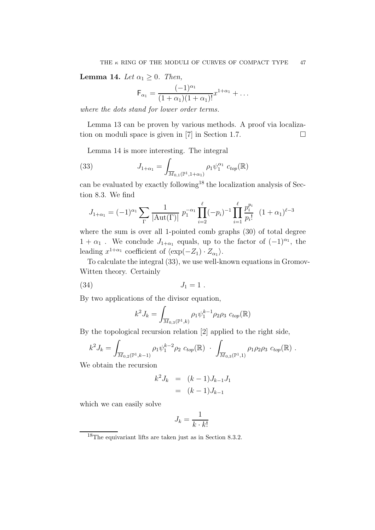**Lemma 14.** *Let*  $\alpha_1 \geq 0$ *. Then,* 

$$
\mathsf{F}_{\alpha_1} = \frac{(-1)^{\alpha_1}}{(1+\alpha_1)(1+\alpha_1)!} x^{1+\alpha_1} + \dots
$$

*where the dots stand for lower order terms.*

Lemma 13 can be proven by various methods. A proof via localization on moduli space is given in [7] in Section 1.7.  $\Box$ 

Lemma 14 is more interesting. The integral

(33) 
$$
J_{1+\alpha_1} = \int_{\overline{M}_{0,1}(\mathbb{P}^1, 1+\alpha_1)} \rho_1 \psi_1^{\alpha_1} c_{top}(\mathbb{R})
$$

can be evaluated by exactly following<sup>18</sup> the localization analysis of Section 8.3. We find

$$
J_{1+\alpha_1} = (-1)^{\alpha_1} \sum_{\Gamma} \frac{1}{|\text{Aut}(\Gamma)|} p_1^{-\alpha_1} \prod_{i=2}^{\ell} (-p_i)^{-1} \prod_{i=1}^{\ell} \frac{p_i^{p_i}}{p_i!} (1+\alpha_1)^{\ell-3}
$$

where the sum is over all 1-pointed comb graphs (30) of total degree  $1 + \alpha_1$ . We conclude  $J_{1+\alpha_1}$  equals, up to the factor of  $(-1)^{\alpha_1}$ , the leading  $x^{1+\alpha_1}$  coefficient of  $\langle \exp(-Z_1) \cdot Z_{\alpha_1} \rangle$ .

To calculate the integral (33), we use well-known equations in Gromov-Witten theory. Certainly

$$
(34) \t\t J_1 = 1.
$$

By two applications of the divisor equation,

$$
k^2 J_k = \int_{\overline{M}_{0,3}(\mathbb{P}^1,k)} \rho_1 \psi_1^{k-1} \rho_2 \rho_3 \ c_{top}(\mathbb{R})
$$

By the topological recursion relation [2] applied to the right side,

$$
k^2 J_k = \int_{\overline{M}_{0,2}(\mathbb{P}^1,k-1)} \rho_1 \psi_1^{k-2} \rho_2 \ c_{top}(\mathbb{R}) \cdot \int_{\overline{M}_{0,3}(\mathbb{P}^1,1)} \rho_1 \rho_2 \rho_3 \ c_{top}(\mathbb{R}) \ .
$$

We obtain the recursion

$$
k^2 J_k = (k-1)J_{k-1}J_1
$$
  
=  $(k-1)J_{k-1}$ 

which we can easily solve

$$
J_k = \frac{1}{k \cdot k!}
$$

<sup>18</sup>The equivariant lifts are taken just as in Section 8.3.2.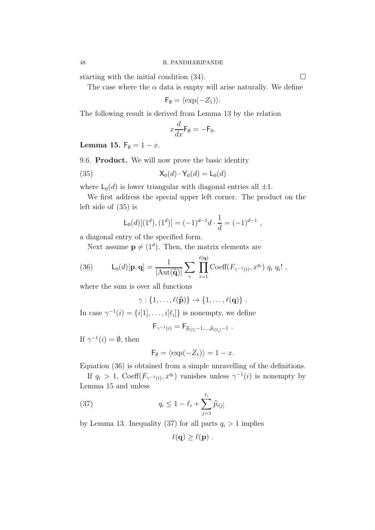starting with the initial condition  $(34)$ .

The case where the  $\alpha$  data is empty will arise naturally. We define

$$
\mathsf{F}_{\emptyset} = \langle \exp(-Z_1) \rangle.
$$

The following result is derived from Lemma 13 by the relation

$$
x\frac{d}{dx}\mathsf{F}_{\emptyset}=-\mathsf{F}_{0}.
$$

Lemma 15.  $F_{\emptyset} = 1 - x$ .

9.6. Product. We will now prove the basic identity

(35) 
$$
\mathsf{X}_0(d) \cdot \mathsf{Y}_0(d) = \mathsf{L}_0(d)
$$

where  $\mathsf{L}_0(d)$  is lower triangular with diagonal entries all  $\pm 1$ .

We first address the special upper left corner. The product on the left side of (35) is

$$
\mathsf{L}_0(d)[(1^d), (1^d)] = (-1)^{d-1}d \cdot \frac{1}{d} = (-1)^{d-1},
$$

a diagonal entry of the specified form.

Next assume  $\mathbf{p} \neq (1^d)$ . Then, the matrix elements are

(36) 
$$
\mathsf{L}_{0}(d)[\mathbf{p},\mathbf{q}] = \frac{1}{|\mathrm{Aut}(\widehat{\mathbf{q}})|} \sum_{\gamma} \prod_{i=1}^{\ell(\mathbf{q})} \mathrm{Coeff}(F_{\gamma^{-1}(i)}, x^{q_i}) q_i q_i! ,
$$

where the sum is over all functions

$$
\gamma:\{1,\ldots,\ell(\widehat{\mathbf{p}})\}\to\{1,\ldots,\ell(\mathbf{q})\}\ .
$$

In case  $\gamma^{-1}(i) = \{i[1], \ldots, i[\ell_i]\}$  is nonempty, we define

$$
\mathsf{F}_{\gamma^{-1}(i)} = \mathsf{F}_{\widehat{p}_{i[1]}-1,\ldots,\widehat{p}_{i[\ell_i]}-1} \; .
$$

If  $\gamma^{-1}(i) = \emptyset$ , then

$$
\mathsf{F}_{\emptyset} = \langle \exp(-Z_1) \rangle = 1 - x.
$$

Equation (36) is obtained from a simple unravelling of the definitions.

If  $q_i > 1$ , Coeff $(F_{\gamma^{-1}(i)}, x^{q_i})$  vanishes unless  $\gamma^{-1}(i)$  is nonempty by Lemma 15 and unless

(37) 
$$
q_i \leq 1 - \ell_i + \sum_{j=1}^{\ell_i} \widehat{p}_{i[j]}
$$

by Lemma 13. Inequality (37) for all parts  $q_i > 1$  implies

$$
\ell(\mathbf{q}) \geq \ell(\mathbf{p}) \ .
$$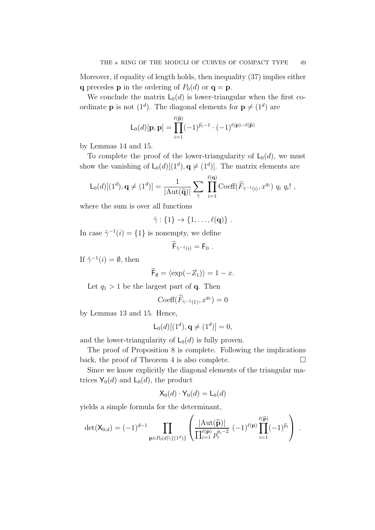Moreover, if equality of length holds, then inequality (37) implies either q precedes **p** in the ordering of  $P_0(d)$  or  $q = p$ .

We conclude the matrix  $L_0(d)$  is lower-triangular when the first coordinate **p** is not  $(1^d)$ . The diagonal elements for  $p \neq (1^d)$  are

$$
\mathsf{L}_{0}(d)[\mathbf{p},\mathbf{p}] = \prod_{i=1}^{\ell(\widehat{\mathbf{p}})} (-1)^{\widehat{p}_{i}-1} \cdot (-1)^{\ell(\mathbf{p})-\ell(\widehat{\mathbf{p}})}
$$

by Lemmas 14 and 15.

To complete the proof of the lower-triangularity of  $\mathsf{L}_0(d)$ , we must show the vanishing of  $\mathsf{L}_0(d)[(1^d), \mathbf{q} \neq (1^d)]$ . The matrix elements are

$$
\mathsf{L}_{0}(d)[(1^d),\mathbf{q}\neq (1^d)]=\frac{1}{|\mathrm{Aut}(\widehat{\mathbf{q}})|}\sum_{\tilde{\gamma}}\prod_{i=1}^{\ell(\mathbf{q})}\mathrm{Coeff}(\widetilde{F}_{\tilde{\gamma}^{-1}(i)},x^{q_i})\ q_i\ q_i!,
$$

where the sum is over all functions

$$
\tilde{\gamma}:\{1\}\to\{1,\ldots,\ell(\mathbf{q})\}.
$$

In case  $\tilde{\gamma}^{-1}(i) = \{1\}$  is nonempty, we define

$$
\mathsf{F}_{\tilde{\gamma}^{-1}(i)} = \mathsf{F}_0 \ .
$$

If  $\tilde{\gamma}^{-1}(i) = \emptyset$ , then

$$
\widetilde{\mathsf{F}}_{\emptyset} = \langle \exp(-Z_1) \rangle = 1 - x.
$$

Let  $q_1 > 1$  be the largest part of **q**. Then

$$
\mathrm{Coeff}(\widetilde{F}_{\tilde{\gamma}^{-1}(1)}, x^{q_1}) = 0
$$

by Lemmas 13 and 15. Hence,

$$
\mathsf{L}_0(d)[(1^d), \mathbf{q} \neq (1^d)] = 0,
$$

and the lower-triangularity of  $\mathsf{L}_0(d)$  is fully proven.

The proof of Proposition 8 is complete. Following the implications back, the proof of Theorem 4 is also complete.  $\Box$ 

Since we know explicitly the diagonal elements of the triangular matrices  $Y_0(d)$  and  $L_0(d)$ , the product

$$
\mathsf{X}_{0}(d)\cdot\mathsf{Y}_{0}(d)=\mathsf{L}_{0}(d)
$$

yields a simple formula for the determinant,

$$
\det(\mathsf{X}_{0,d}) = (-1)^{d-1} \prod_{\mathbf{p} \in P_0(d) \setminus \{(1^d)\}} \left( \frac{|\mathrm{Aut}(\widehat{\mathbf{p}})|}{\prod_{i=1}^{\ell(\mathbf{p})} p_i^{p_i - 2}} (-1)^{\ell(\mathbf{p})} \prod_{i=1}^{\ell(\widehat{\mathbf{p}})} (-1)^{\widehat{p}_i} \right) .
$$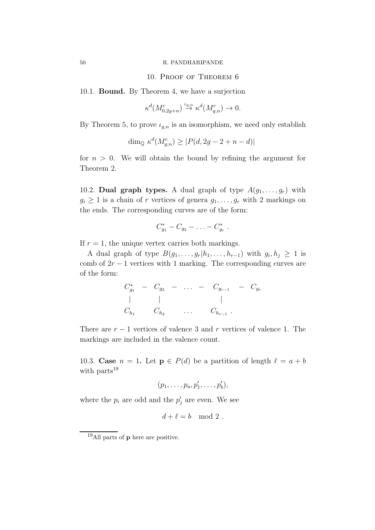#### 50 R. PANDHARIPANDE

# 10. Proof of Theorem 6

10.1. Bound. By Theorem 4, we have a surjection

$$
\kappa^d(M^c_{0,2g+n}) \stackrel{\iota_{g,n}}{\to} \kappa^d(M^c_{g,n}) \to 0.
$$

By Theorem 5, to prove  $\iota_{g,n}$  is an isomorphism, we need only establish

$$
\dim_{\mathbb{Q}} \kappa^d(M_{g,n}^c) \ge |P(d, 2g - 2 + n - d)|
$$

for  $n > 0$ . We will obtain the bound by refining the argument for Theorem 2.

10.2. Dual graph types. A dual graph of type  $A(g_1, \ldots, g_r)$  with  $g_i \geq 1$  is a chain of r vertices of genera  $g_1, \ldots, g_r$  with 2 markings on the ends. The corresponding curves are of the form:

$$
C_{g_1}^* - C_{g_2} - \ldots - C_{g_r}^*.
$$

If  $r = 1$ , the unique vertex carries both markings.

A dual graph of type  $B(g_1, \ldots, g_r | h_1, \ldots, h_{r-1})$  with  $g_i, h_j \geq 1$  is comb of  $2r - 1$  vertices with 1 marking. The corresponding curves are of the form:

|  |                     |                           | $C_{g_1}^*$ - $C_{g_2}$ -  - $C_{g_{r-1}}$ - $C_{g_r}$ |  |
|--|---------------------|---------------------------|--------------------------------------------------------|--|
|  |                     |                           |                                                        |  |
|  | $C_{h_1}$ $C_{h_2}$ | $\sim 100$ and $\sim 100$ | $C_{h_{r-1}}$ .                                        |  |

There are  $r - 1$  vertices of valence 3 and r vertices of valence 1. The markings are included in the valence count.

10.3. Case  $n = 1$ . Let  $p \in P(d)$  be a partition of length  $\ell = a + b$ with parts<sup>19</sup>

$$
(p_1,\ldots,p_a,p'_1,\ldots,p'_b),
$$

where the  $p_i$  are odd and the  $p'_j$  are even. We see

$$
d+\ell = b \mod 2.
$$

<sup>&</sup>lt;sup>19</sup>All parts of **p** here are positive.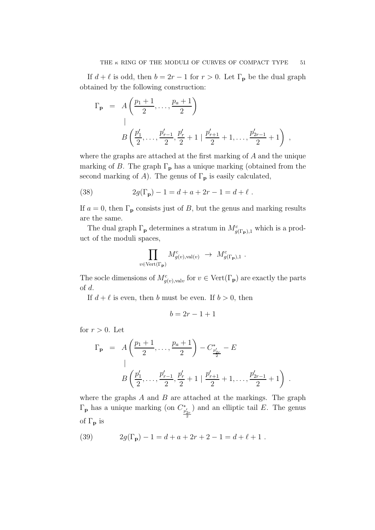If  $d + \ell$  is odd, then  $b = 2r - 1$  for  $r > 0$ . Let  $\Gamma_{\mathbf{p}}$  be the dual graph obtained by the following construction:

$$
\Gamma_{\mathbf{p}} = A\left(\frac{p_1+1}{2}, \ldots, \frac{p_a+1}{2}\right)
$$
\n
$$
B\left(\frac{p'_1}{2}, \ldots, \frac{p'_{r-1}}{2}, \frac{p'_r}{2}+1 \mid \frac{p'_{r+1}}{2}+1, \ldots, \frac{p'_{2r-1}}{2}+1\right),
$$

where the graphs are attached at the first marking of A and the unique marking of B. The graph  $\Gamma_{\mathbf{p}}$  has a unique marking (obtained from the second marking of A). The genus of  $\Gamma_{\mathbf{p}}$  is easily calculated,

(38) 
$$
2g(\Gamma_{\mathbf{p}}) - 1 = d + a + 2r - 1 = d + \ell.
$$

If  $a = 0$ , then  $\Gamma_{\mathbf{p}}$  consists just of B, but the genus and marking results are the same.

The dual graph  $\Gamma_{\mathbf{p}}$  determines a stratum in  $M_{g(\Gamma_{\mathbf{p}}),1}^c$  which is a product of the moduli spaces,

$$
\prod_{v \in \text{Vert}(\Gamma_{\mathbf{p}})} M_{g(v), \text{val}(v)}^c \rightarrow M_{g(\Gamma_{\mathbf{p}}), 1}^c.
$$

The socle dimensions of  $M_{g(v),\text{val}v}^c$  for  $v \in \text{Vert}(\Gamma_{\mathbf{p}})$  are exactly the parts of d.

If  $d + \ell$  is even, then b must be even. If  $b > 0$ , then

$$
b = 2r - 1 + 1
$$

for  $r > 0$ . Let

$$
\Gamma_{\mathbf{p}} = A\left(\frac{p_1+1}{2}, \dots, \frac{p_a+1}{2}\right) - C_{\frac{p'_2}{2}}^* - E
$$
\n
$$
B\left(\frac{p'_1}{2}, \dots, \frac{p'_{r-1}}{2}, \frac{p'_r}{2}+1 \mid \frac{p'_{r+1}}{2}+1, \dots, \frac{p'_{2r-1}}{2}+1\right) .
$$

where the graphs  $A$  and  $B$  are attached at the markings. The graph  $\Gamma_{\mathbf{p}}$  has a unique marking (on  $C_{\frac{p'_{2r}}{2}}^*$ ) and an elliptic tail  $E$ . The genus of  $\Gamma_{\mathbf{p}}$  is

(39) 
$$
2g(\Gamma_{\mathbf{p}}) - 1 = d + a + 2r + 2 - 1 = d + \ell + 1.
$$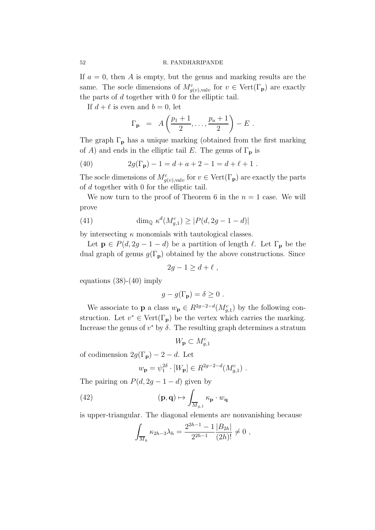If  $a = 0$ , then A is empty, but the genus and marking results are the same. The socle dimensions of  $M_{g(v),\text{val}v}^c$  for  $v \in \text{Vert}(\Gamma_{\mathbf{p}})$  are exactly the parts of  $d$  together with  $0$  for the elliptic tail.

If  $d + \ell$  is even and  $b = 0$ , let

$$
\Gamma_{\mathbf{p}} = A\left(\frac{p_1+1}{2},\ldots,\frac{p_a+1}{2}\right) - E.
$$

The graph  $\Gamma_{\mathbf{p}}$  has a unique marking (obtained from the first marking of A) and ends in the elliptic tail E. The genus of  $\Gamma_{\mathbf{p}}$  is

(40) 
$$
2g(\Gamma_{\mathbf{p}}) - 1 = d + a + 2 - 1 = d + \ell + 1.
$$

The socle dimensions of  $M_{g(v),\text{val}v}^c$  for  $v \in \text{Vert}(\Gamma_{\mathbf{p}})$  are exactly the parts of d together with 0 for the elliptic tail.

We now turn to the proof of Theorem 6 in the  $n = 1$  case. We will prove

(41) 
$$
\dim_{\mathbb{Q}} \kappa^d(M_{g,1}^c) \ge |P(d, 2g - 1 - d)|
$$

by intersecting  $\kappa$  monomials with tautological classes.

Let  $p \in P(d, 2g - 1 - d)$  be a partition of length  $\ell$ . Let  $\Gamma_p$  be the dual graph of genus  $g(\Gamma_p)$  obtained by the above constructions. Since

$$
2g - 1 \ge d + \ell \;,
$$

equations  $(38)-(40)$  imply

$$
g - g(\Gamma_{\mathbf{p}}) = \delta \ge 0.
$$

We associate to **p** a class  $w_{\mathbf{p}} \in R^{2g-2-d}(M_{g,1}^c)$  by the following construction. Let  $v^* \in \text{Vert}(\Gamma_p)$  be the vertex which carries the marking. Increase the genus of  $v^*$  by  $\delta$ . The resulting graph determines a stratum

$$
W_{\mathbf{p}} \subset M_{g,1}^c
$$

of codimension  $2g(\Gamma_p) - 2 - d$ . Let

$$
w_{\mathbf{p}} = \psi_1^{2\delta} \cdot [W_{\mathbf{p}}] \in R^{2g-2-d}(M_{g,1}^c)
$$
.

The pairing on  $P(d, 2g - 1 - d)$  given by

(42) 
$$
(\mathbf{p}, \mathbf{q}) \mapsto \int_{\overline{M}_{g,1}} \kappa_{\mathbf{p}} \cdot w_{\mathbf{q}}
$$

is upper-triangular. The diagonal elements are nonvanishing because

$$
\int_{\overline{M}_h} \kappa_{2h-3} \lambda_h = \frac{2^{2h-1} - 1}{2^{2h-1}} \frac{|B_{2h}|}{(2h)!} \neq 0,
$$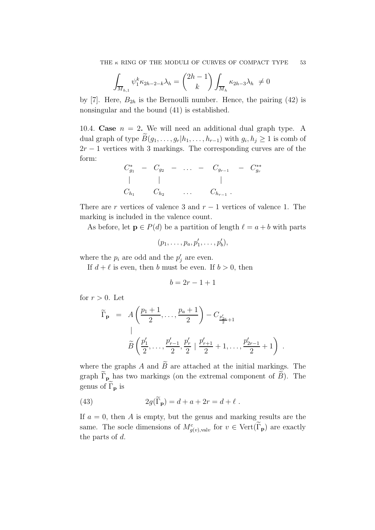$$
\int_{\overline{M}_{h,1}} \psi_1^k \kappa_{2h-2-k} \lambda_h = \binom{2h-1}{k} \int_{\overline{M}_h} \kappa_{2h-3} \lambda_h \neq 0
$$

by [7]. Here,  $B_{2h}$  is the Bernoulli number. Hence, the pairing (42) is nonsingular and the bound (41) is established.

10.4. Case  $n = 2$ . We will need an additional dual graph type. A dual graph of type  $B(g_1, \ldots, g_r | h_1, \ldots, h_{r-1})$  with  $g_i, h_j \geq 1$  is comb of  $2r - 1$  vertices with 3 markings. The corresponding curves are of the form:

$$
C_{g_1}^* - C_{g_2} - \dots - C_{g_{r-1}} - C_{g_r}^{**}
$$
  
\n| |   
\n
$$
C_{h_1} C_{h_2} \dots C_{h_{r-1}}.
$$

There are r vertices of valence 3 and  $r - 1$  vertices of valence 1. The marking is included in the valence count.

As before, let  $p \in P(d)$  be a partition of length  $\ell = a + b$  with parts

$$
(p_1,\ldots,p_a,p'_1,\ldots,p'_b),
$$

where the  $p_i$  are odd and the  $p'_j$  are even.

If  $d + \ell$  is even, then b must be even. If  $b > 0$ , then

$$
b = 2r - 1 + 1
$$

for  $r > 0$ . Let

$$
\widetilde{\Gamma}_{\mathbf{p}} = A\left(\frac{p_1+1}{2}, \ldots, \frac{p_a+1}{2}\right) - C_{\frac{p'_{2r}}{2}+1}
$$
\n
$$
\widetilde{B}\left(\frac{p'_1}{2}, \ldots, \frac{p'_{r-1}}{2}, \frac{p'_r}{2} \mid \frac{p'_{r+1}}{2}+1, \ldots, \frac{p'_{2r-1}}{2}+1\right) \ .
$$

where the graphs A and  $\widetilde{B}$  are attached at the initial markings. The graph  $\widetilde{\Gamma}_{\mathbf{p}}$  has two markings (on the extremal component of  $\widetilde{B}$ ). The genus of  $\widetilde{\Gamma}_{\mathbf{p}}$  is

(43) 
$$
2g(\tilde{\Gamma}_{\mathbf{p}}) = d + a + 2r = d + \ell.
$$

If  $a = 0$ , then A is empty, but the genus and marking results are the same. The socle dimensions of  $M_{g(v),\text{val}v}^c$  for  $v \in \text{Vert}(\Gamma_{\mathbf{p}})$  are exactly the parts of d.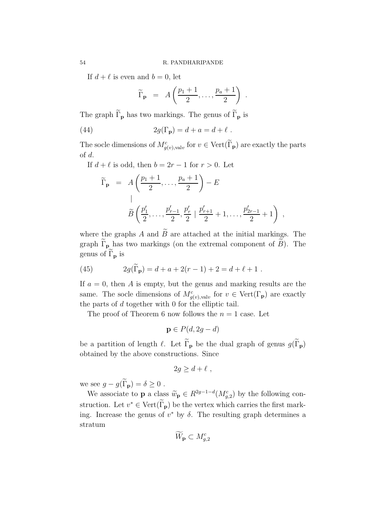If  $d + \ell$  is even and  $b = 0$ , let

$$
\widetilde{\Gamma}_{\mathbf{p}} = A\left(\frac{p_1+1}{2},\ldots,\frac{p_a+1}{2}\right) .
$$

The graph  $\widetilde{\Gamma}_{\mathbf{p}}$  has two markings. The genus of  $\widetilde{\Gamma}_{\mathbf{p}}$  is

(44) 
$$
2g(\Gamma_{\mathbf{p}}) = d + a = d + \ell.
$$

The socle dimensions of  $M_{g(v),\text{val}v}^c$  for  $v \in \text{Vert}(\tilde{\Gamma}_{p})$  are exactly the parts of d.

If  $d + \ell$  is odd, then  $b = 2r - 1$  for  $r > 0$ . Let

$$
\widetilde{\Gamma}_{\mathbf{p}} = A\left(\frac{p_1+1}{2}, \ldots, \frac{p_a+1}{2}\right) - E
$$
\n
$$
\widetilde{B}\left(\frac{p'_1}{2}, \ldots, \frac{p'_{r-1}}{2}, \frac{p'_r}{2} \mid \frac{p'_{r+1}}{2} + 1, \ldots, \frac{p'_{2r-1}}{2} + 1\right) ,
$$

where the graphs A and  $\widetilde{B}$  are attached at the initial markings. The graph  $\widetilde{\Gamma}_{\mathbf{p}}$  has two markings (on the extremal component of  $\widetilde{B}$ ). The genus of  $\widetilde{\Gamma}_{\mathbf{p}}$  is

(45) 
$$
2g(\widetilde{\Gamma}_{\mathbf{p}}) = d + a + 2(r - 1) + 2 = d + \ell + 1.
$$

If  $a = 0$ , then A is empty, but the genus and marking results are the same. The socle dimensions of  $M_{g(v),\text{val}v}^c$  for  $v \in \text{Vert}(\Gamma_{\mathbf{p}})$  are exactly the parts of  $d$  together with  $0$  for the elliptic tail.

The proof of Theorem 6 now follows the  $n = 1$  case. Let

$$
\mathbf{p} \in P(d, 2g - d)
$$

be a partition of length  $\ell$ . Let  $\widetilde{\Gamma}_{p}$  be the dual graph of genus  $g(\widetilde{\Gamma}_{p})$ obtained by the above constructions. Since

$$
2g \ge d + \ell \;,
$$

we see  $q - q(\widetilde{\Gamma}_{p}) = \delta \geq 0$ .

We associate to **p** a class  $\widetilde{w}_{\mathbf{p}} \in R^{2g-1-d}(M_{g,2}^c)$  by the following construction. Let  $v^* \in \text{Vert}(\Gamma_p)$  be the vertex which carries the first marking. Increase the genus of  $v^*$  by  $\delta$ . The resulting graph determines a stratum

$$
\widetilde{W}_{\mathbf{p}} \subset M_{g,2}^c
$$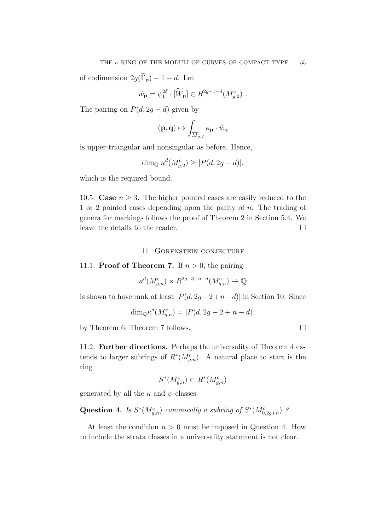of codimension  $2g(\widetilde{\Gamma}_{\mathbf{p}}) - 1 - d$ . Let

$$
\widetilde{w}_{\mathbf{p}} = \psi_1^{2\delta} \cdot [\widetilde{W}_{\mathbf{p}}] \in R^{2g-1-d}(M_{g,2}^c) .
$$

The pairing on  $P(d, 2g - d)$  given by

$$
(\mathbf{p},\mathbf{q})\mapsto \int_{\overline{M}_{g,2}}\kappa_{\mathbf{p}}\cdot\widetilde{w}_{\mathbf{q}}
$$

is upper-triangular and nonsingular as before. Hence,

$$
\dim_{\mathbb{Q}} \kappa^d(M^c_{g,2}) \ge |P(d, 2g - d)|,
$$

which is the required bound.

10.5. Case  $n \geq 3$ . The higher pointed cases are easily reduced to the 1 or 2 pointed cases depending upon the parity of n. The trading of genera for markings follows the proof of Theorem 2 in Section 5.4. We leave the details to the reader.

# 11. Gorenstein conjecture

11.1. **Proof of Theorem 7.** If  $n > 0$ , the pairing

$$
\kappa^d(M_{g,n}^c) \times R^{2g-3+n-d}(M_{g,n}^c) \to \mathbb{Q}
$$

is shown to have rank at least  $|P(d, 2g-2+n-d)|$  in Section 10. Since

$$
\dim_{\mathbb{Q}} \kappa^d(M_{g,n}^c) = |P(d, 2g - 2 + n - d)|
$$

by Theorem 6, Theorem 7 follows.

11.2. Further directions. Perhaps the universality of Theorem 4 extends to larger subrings of  $R^*(M_{g,n}^c)$ . A natural place to start is the ring

$$
S^*(M_{g,n}^c) \subset R^*(M_{g,n}^c)
$$

generated by all the  $\kappa$  and  $\psi$  classes.

Question 4. *Is*  $S^*(M_{g,n}^c)$  *canonically a subring of*  $S^*(M_{0,2g+n}^c)$  ?

At least the condition  $n > 0$  must be imposed in Question 4. How to include the strata classes in a universality statement is not clear.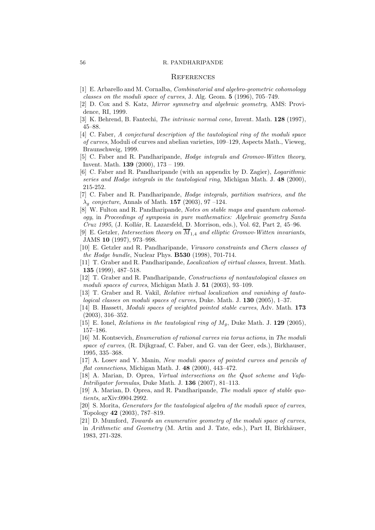#### 56 R. PANDHARIPANDE

#### **REFERENCES**

- [1] E. Arbarello and M. Cornalba, Combinatorial and algebro-geometric cohomology classes on the moduli space of curves, J. Alg. Geom. 5 (1996), 705–749.
- [2] D. Cox and S. Katz, Mirror symmetry and algebraic geometry, AMS: Providence, RI, 1999.
- [3] K. Behrend, B. Fantechi, The intrinsic normal cone, Invent. Math. 128 (1997), 45–88.
- [4] C. Faber, A conjectural description of the tautological ring of the moduli space of curves, Moduli of curves and abelian varieties, 109–129, Aspects Math., Vieweg, Braunschweig, 1999.
- [5] C. Faber and R. Pandharipande, Hodge integrals and Gromov-Witten theory, Invent. Math. 139 (2000), 173 – 199.
- [6] C. Faber and R. Pandharipande (with an appendix by D. Zagier), Logarithmic series and Hodge integrals in the tautological ring, Michigan Math. J. 48 (2000), 215-252.
- [7] C. Faber and R. Pandharipande, Hodge integrals, partition matrices, and the  $\lambda_g$  conjecture, Annals of Math. 157 (2003), 97 –124.
- [8] W. Fulton and R. Pandharipande, Notes on stable maps and quantum cohomology, in Proceedings of symposia in pure mathematics: Algebraic geometry Santa  $Cruz 1995$ , (J. Kollár, R. Lazarsfeld, D. Morrison, eds.), Vol. 62, Part 2, 45–96.
- [9] E. Getzler, Intersection theory on  $\overline{M}_{1.4}$  and elliptic Gromov-Witten invariants, JAMS 10 (1997), 973–998.
- [10] E. Getzler and R. Pandharipande, Virasoro constraints and Chern classes of the Hodge bundle, Nuclear Phys. B530 (1998), 701-714.
- [11] T. Graber and R. Pandharipande, Localization of virtual classes, Invent. Math. 135 (1999), 487–518.
- [12] T. Graber and R. Pandharipande, Constructions of nontautological classes on moduli spaces of curves, Michigan Math J. 51 (2003), 93–109.
- [13] T. Graber and R. Vakil, Relative virtual localization and vanishing of tautological classes on moduli spaces of curves, Duke. Math. J. 130 (2005), 1–37.
- [14] B. Hassett, *Moduli spaces of weighted pointed stable curves*, Adv. Math. **173** (2003), 316–352.
- [15] E. Ionel, *Relations in the tautological ring of*  $M_q$ , Duke Math. J. 129 (2005), 157–186.
- [16] M. Kontsevich, Enumeration of rational curves via torus actions, in The moduli space of curves, (R. Dijkgraaf, C. Faber, and G. van der Geer, eds.), Birkhauser, 1995, 335–368.
- [17] A. Losev and Y. Manin, New moduli spaces of pointed curves and pencils of flat connections, Michigan Math. J.  $48$  (2000), 443-472.
- [18] A. Marian, D. Oprea, Virtual intersections on the Quot scheme and Vafa-*Intriligator formulas*, Duke Math. J.  $136$  (2007), 81–113.
- [19] A. Marian, D. Oprea, and R. Pandharipande, The moduli space of stable quotients, arXiv:0904.2992.
- [20] S. Morita, Generators for the tautological algebra of the moduli space of curves, Topology 42 (2003), 787–819.
- [21] D. Mumford, Towards an enumerative geometry of the moduli space of curves, in Arithmetic and Geometry (M. Artin and J. Tate, eds.), Part II, Birkhäuser, 1983, 271-328.